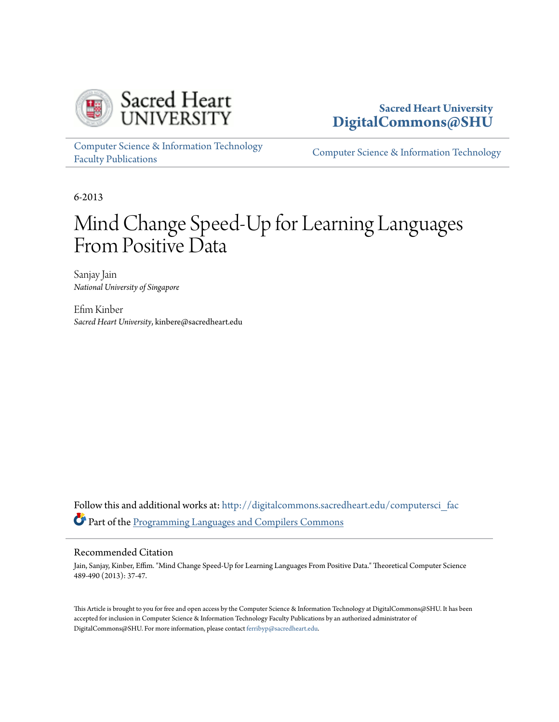

### **Sacred Heart University [DigitalCommons@SHU](http://digitalcommons.sacredheart.edu?utm_source=digitalcommons.sacredheart.edu%2Fcomputersci_fac%2F26&utm_medium=PDF&utm_campaign=PDFCoverPages)**

[Computer Science & Information Technology](http://digitalcommons.sacredheart.edu/computersci_fac?utm_source=digitalcommons.sacredheart.edu%2Fcomputersci_fac%2F26&utm_medium=PDF&utm_campaign=PDFCoverPages) [Faculty Publications](http://digitalcommons.sacredheart.edu/computersci_fac?utm_source=digitalcommons.sacredheart.edu%2Fcomputersci_fac%2F26&utm_medium=PDF&utm_campaign=PDFCoverPages)

[Computer Science & Information Technology](http://digitalcommons.sacredheart.edu/computersci?utm_source=digitalcommons.sacredheart.edu%2Fcomputersci_fac%2F26&utm_medium=PDF&utm_campaign=PDFCoverPages)

6-2013

# Mind Change Speed-Up for Learning Languages From Positive Data

Sanjay Jain *National University of Singapore*

Efim Kinber *Sacred Heart University*, kinbere@sacredheart.edu

Follow this and additional works at: [http://digitalcommons.sacredheart.edu/computersci\\_fac](http://digitalcommons.sacredheart.edu/computersci_fac?utm_source=digitalcommons.sacredheart.edu%2Fcomputersci_fac%2F26&utm_medium=PDF&utm_campaign=PDFCoverPages) Part of the [Programming Languages and Compilers Commons](http://network.bepress.com/hgg/discipline/148?utm_source=digitalcommons.sacredheart.edu%2Fcomputersci_fac%2F26&utm_medium=PDF&utm_campaign=PDFCoverPages)

#### Recommended Citation

Jain, Sanjay, Kinber, Effim. "Mind Change Speed-Up for Learning Languages From Positive Data." Theoretical Computer Science 489-490 (2013): 37-47.

This Article is brought to you for free and open access by the Computer Science & Information Technology at DigitalCommons@SHU. It has been accepted for inclusion in Computer Science & Information Technology Faculty Publications by an authorized administrator of DigitalCommons@SHU. For more information, please contact [ferribyp@sacredheart.edu](mailto:ferribyp@sacredheart.edu).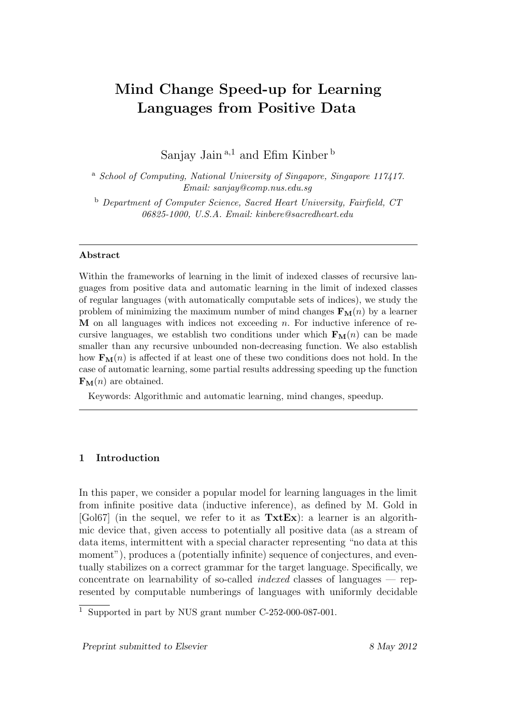## Mind Change Speed-up for Learning Languages from Positive Data

Sanjay Jain<sup>a,1</sup> and Efim Kinber<sup>b</sup>

<sup>a</sup> School of Computing, National University of Singapore, Singapore 117417. Email: sanjay@comp.nus.edu.sg

<sup>b</sup> Department of Computer Science, Sacred Heart University, Fairfield, CT 06825-1000, U.S.A. Email: kinbere@sacredheart.edu

#### Abstract

Within the frameworks of learning in the limit of indexed classes of recursive languages from positive data and automatic learning in the limit of indexed classes of regular languages (with automatically computable sets of indices), we study the problem of minimizing the maximum number of mind changes  $\mathbf{F}_{\mathbf{M}}(n)$  by a learner  $M$  on all languages with indices not exceeding  $n$ . For inductive inference of recursive languages, we establish two conditions under which  $\mathbf{F}_{\mathbf{M}}(n)$  can be made smaller than any recursive unbounded non-decreasing function. We also establish how  $\mathbf{F}_{\mathbf{M}}(n)$  is affected if at least one of these two conditions does not hold. In the case of automatic learning, some partial results addressing speeding up the function  $\mathbf{F}_{\mathbf{M}}(n)$  are obtained.

Keywords: Algorithmic and automatic learning, mind changes, speedup.

#### 1 Introduction

In this paper, we consider a popular model for learning languages in the limit from infinite positive data (inductive inference), as defined by M. Gold in  $[Gol67]$  (in the sequel, we refer to it as  $TxtEx$ ): a learner is an algorithmic device that, given access to potentially all positive data (as a stream of data items, intermittent with a special character representing "no data at this moment"), produces a (potentially infinite) sequence of conjectures, and eventually stabilizes on a correct grammar for the target language. Specifically, we concentrate on learnability of so-called indexed classes of languages — represented by computable numberings of languages with uniformly decidable

Preprint submitted to Elsevier 8 May 2012

<sup>1</sup> Supported in part by NUS grant number C-252-000-087-001.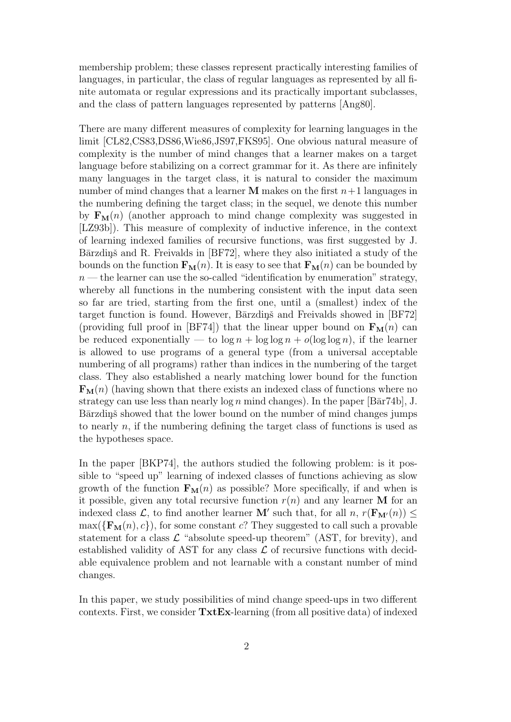membership problem; these classes represent practically interesting families of languages, in particular, the class of regular languages as represented by all finite automata or regular expressions and its practically important subclasses, and the class of pattern languages represented by patterns [Ang80].

There are many different measures of complexity for learning languages in the limit [CL82,CS83,DS86,Wie86,JS97,FKS95]. One obvious natural measure of complexity is the number of mind changes that a learner makes on a target language before stabilizing on a correct grammar for it. As there are infinitely many languages in the target class, it is natural to consider the maximum number of mind changes that a learner **M** makes on the first  $n+1$  languages in the numbering defining the target class; in the sequel, we denote this number by  $\mathbf{F}_{\mathbf{M}}(n)$  (another approach to mind change complexity was suggested in [LZ93b]). This measure of complexity of inductive inference, in the context of learning indexed families of recursive functions, was first suggested by J. Bārzdiņš and R. Freivalds in [BF72], where they also initiated a study of the bounds on the function  $\mathbf{F}_{\mathbf{M}}(n)$ . It is easy to see that  $\mathbf{F}_{\mathbf{M}}(n)$  can be bounded by  $n$ — the learner can use the so-called "identification by enumeration" strategy, whereby all functions in the numbering consistent with the input data seen so far are tried, starting from the first one, until a (smallest) index of the target function is found. However, Barzdins and Freivalds showed in  $[BF72]$ (providing full proof in [BF74]) that the linear upper bound on  $\mathbf{F}_{\mathbf{M}}(n)$  can be reduced exponentially — to  $\log n + \log \log n + o(\log \log n)$ , if the learner is allowed to use programs of a general type (from a universal acceptable numbering of all programs) rather than indices in the numbering of the target class. They also established a nearly matching lower bound for the function  $\mathbf{F}_{\mathbf{M}}(n)$  (having shown that there exists an indexed class of functions where no strategy can use less than nearly  $\log n$  mind changes). In the paper  $|\text{Bār74b}|$ , J. Bārzdiņš showed that the lower bound on the number of mind changes jumps to nearly  $n$ , if the numbering defining the target class of functions is used as the hypotheses space.

In the paper [BKP74], the authors studied the following problem: is it possible to "speed up" learning of indexed classes of functions achieving as slow growth of the function  $\mathbf{F}_{\mathbf{M}}(n)$  as possible? More specifically, if and when is it possible, given any total recursive function  $r(n)$  and any learner M for an indexed class  $\mathcal{L}$ , to find another learner **M'** such that, for all  $n, r(\mathbf{F}_{\mathbf{M}'}(n)) \leq$  $\max({\mathbf{F_M}(n), c})$ , for some constant c? They suggested to call such a provable statement for a class  $\mathcal L$  "absolute speed-up theorem" (AST, for brevity), and established validity of AST for any class  $\mathcal L$  of recursive functions with decidable equivalence problem and not learnable with a constant number of mind changes.

In this paper, we study possibilities of mind change speed-ups in two different contexts. First, we consider  $\text{Txt}\mathbf{Ex}$ -learning (from all positive data) of indexed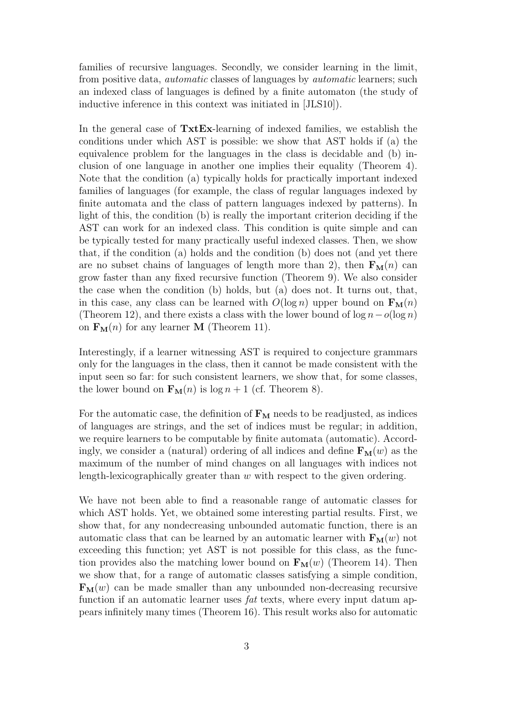families of recursive languages. Secondly, we consider learning in the limit, from positive data, automatic classes of languages by automatic learners; such an indexed class of languages is defined by a finite automaton (the study of inductive inference in this context was initiated in [JLS10]).

In the general case of  $\text{Txt}$ -learning of indexed families, we establish the conditions under which AST is possible: we show that AST holds if (a) the equivalence problem for the languages in the class is decidable and (b) inclusion of one language in another one implies their equality (Theorem 4). Note that the condition (a) typically holds for practically important indexed families of languages (for example, the class of regular languages indexed by finite automata and the class of pattern languages indexed by patterns). In light of this, the condition (b) is really the important criterion deciding if the AST can work for an indexed class. This condition is quite simple and can be typically tested for many practically useful indexed classes. Then, we show that, if the condition (a) holds and the condition (b) does not (and yet there are no subset chains of languages of length more than 2), then  $\mathbf{F}_{\mathbf{M}}(n)$  can grow faster than any fixed recursive function (Theorem 9). We also consider the case when the condition (b) holds, but (a) does not. It turns out, that, in this case, any class can be learned with  $O(\log n)$  upper bound on  $\mathbf{F}_{\mathbf{M}}(n)$ (Theorem 12), and there exists a class with the lower bound of  $\log n - o(\log n)$ on  $\mathbf{F}_{\mathbf{M}}(n)$  for any learner **M** (Theorem 11).

Interestingly, if a learner witnessing AST is required to conjecture grammars only for the languages in the class, then it cannot be made consistent with the input seen so far: for such consistent learners, we show that, for some classes, the lower bound on  $\mathbf{F}_{\mathbf{M}}(n)$  is  $\log n + 1$  (cf. Theorem 8).

For the automatic case, the definition of  $F_M$  needs to be readjusted, as indices of languages are strings, and the set of indices must be regular; in addition, we require learners to be computable by finite automata (automatic). Accordingly, we consider a (natural) ordering of all indices and define  $\mathbf{F}_{\mathbf{M}}(w)$  as the maximum of the number of mind changes on all languages with indices not length-lexicographically greater than w with respect to the given ordering.

We have not been able to find a reasonable range of automatic classes for which AST holds. Yet, we obtained some interesting partial results. First, we show that, for any nondecreasing unbounded automatic function, there is an automatic class that can be learned by an automatic learner with  $\mathbf{F}_{\mathbf{M}}(w)$  not exceeding this function; yet AST is not possible for this class, as the function provides also the matching lower bound on  $\mathbf{F}_{\mathbf{M}}(w)$  (Theorem 14). Then we show that, for a range of automatic classes satisfying a simple condition,  $\mathbf{F}_{\mathbf{M}}(w)$  can be made smaller than any unbounded non-decreasing recursive function if an automatic learner uses fat texts, where every input datum appears infinitely many times (Theorem 16). This result works also for automatic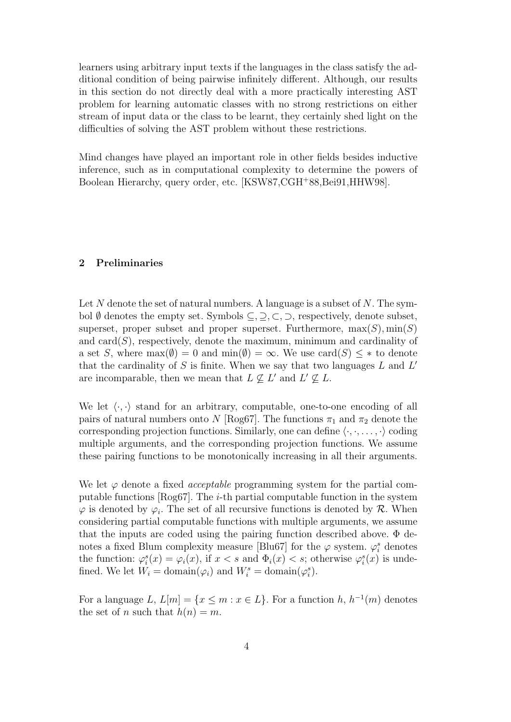learners using arbitrary input texts if the languages in the class satisfy the additional condition of being pairwise infinitely different. Although, our results in this section do not directly deal with a more practically interesting AST problem for learning automatic classes with no strong restrictions on either stream of input data or the class to be learnt, they certainly shed light on the difficulties of solving the AST problem without these restrictions.

Mind changes have played an important role in other fields besides inductive inference, such as in computational complexity to determine the powers of Boolean Hierarchy, query order, etc. [KSW87,CGH<sup>+</sup>88,Bei91,HHW98].

#### 2 Preliminaries

Let  $N$  denote the set of natural numbers. A language is a subset of  $N$ . The symbol  $\emptyset$  denotes the empty set. Symbols  $\subseteq, \supseteq, \subset, \supset$ , respectively, denote subset, superset, proper subset and proper superset. Furthermore,  $\max(S)$ ,  $\min(S)$ and  $card(S)$ , respectively, denote the maximum, minimum and cardinality of a set S, where  $\max(\emptyset) = 0$  and  $\min(\emptyset) = \infty$ . We use  $\text{card}(S) \leq *$  to denote that the cardinality of  $S$  is finite. When we say that two languages  $L$  and  $L'$ are incomparable, then we mean that  $L \nsubseteq L'$  and  $L' \nsubseteq L$ .

We let  $\langle \cdot, \cdot \rangle$  stand for an arbitrary, computable, one-to-one encoding of all pairs of natural numbers onto N [Rog67]. The functions  $\pi_1$  and  $\pi_2$  denote the corresponding projection functions. Similarly, one can define  $\langle \cdot, \cdot, \ldots, \cdot \rangle$  coding multiple arguments, and the corresponding projection functions. We assume these pairing functions to be monotonically increasing in all their arguments.

We let  $\varphi$  denote a fixed *acceptable* programming system for the partial computable functions [ $Rog67$ ]. The *i*-th partial computable function in the system  $\varphi$  is denoted by  $\varphi_i$ . The set of all recursive functions is denoted by  $\mathcal{R}$ . When considering partial computable functions with multiple arguments, we assume that the inputs are coded using the pairing function described above. Φ denotes a fixed Blum complexity measure [Blu67] for the  $\varphi$  system.  $\varphi_i^s$  denotes the function:  $\varphi_i^s(x) = \varphi_i(x)$ , if  $x < s$  and  $\Phi_i(x) < s$ ; otherwise  $\varphi_i^s(x)$  is undefined. We let  $W_i = \text{domain}(\varphi_i)$  and  $W_i^s = \text{domain}(\varphi_i^s)$ .

For a language L,  $L[m] = \{x \le m : x \in L\}$ . For a function h,  $h^{-1}(m)$  denotes the set of n such that  $h(n) = m$ .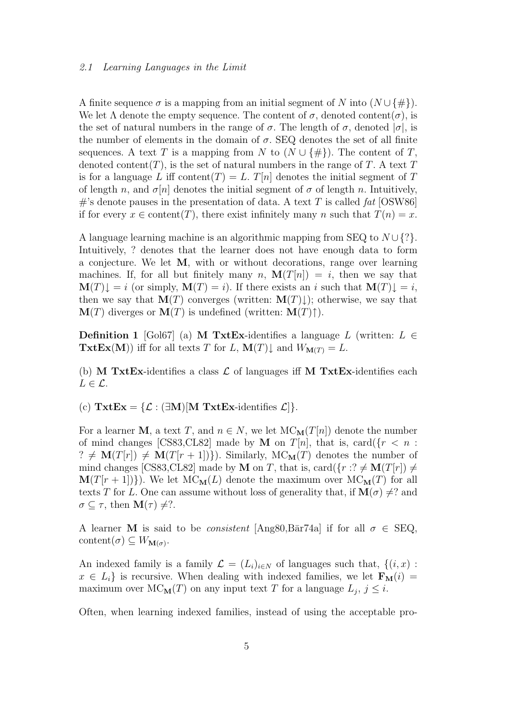#### 2.1 Learning Languages in the Limit

A finite sequence  $\sigma$  is a mapping from an initial segment of N into  $(N \cup \{\#\})$ . We let  $\Lambda$  denote the empty sequence. The content of  $\sigma$ , denoted content( $\sigma$ ), is the set of natural numbers in the range of  $\sigma$ . The length of  $\sigma$ , denoted  $|\sigma|$ , is the number of elements in the domain of  $\sigma$ . SEQ denotes the set of all finite sequences. A text T is a mapping from N to  $(N \cup \{\#\})$ . The content of T, denoted content(T), is the set of natural numbers in the range of T. A text  $T$ is for a language L iff content(T) = L. T[n] denotes the initial segment of T of length n, and  $\sigma[n]$  denotes the initial segment of  $\sigma$  of length n. Intuitively, #'s denote pauses in the presentation of data. A text T is called fat [OSW86] if for every  $x \in$  content(T), there exist infinitely many n such that  $T(n) = x$ .

A language learning machine is an algorithmic mapping from SEQ to  $N \cup \{? \}$ . Intuitively, ? denotes that the learner does not have enough data to form a conjecture. We let M, with or without decorations, range over learning machines. If, for all but finitely many n,  $\mathbf{M}(T[n]) = i$ , then we say that  $\mathbf{M}(T)\downarrow = i$  (or simply,  $\mathbf{M}(T) = i$ ). If there exists an i such that  $\mathbf{M}(T)\downarrow = i$ , then we say that  $\mathbf{M}(T)$  converges (written:  $\mathbf{M}(T)\downarrow$ ); otherwise, we say that  $\mathbf{M}(T)$  diverges or  $\mathbf{M}(T)$  is undefined (written:  $\mathbf{M}(T)\uparrow$ ).

**Definition 1** [Gol67] (a) **M TxtEx**-identifies a language L (written:  $L \in$ **TxtEx(M))** iff for all texts T for L,  $\mathbf{M}(T)\downarrow$  and  $W_{\mathbf{M}(T)} = L$ .

(b) M TxtEx-identifies a class  $\mathcal L$  of languages iff M TxtEx-identifies each  $L \in \mathcal{L}$ .

(c)  $\text{Txt}\mathbf{Ex} = \{\mathcal{L} : (\exists \mathbf{M})[\mathbf{M} \text{Txt}\mathbf{Ex}\text{-identifies } \mathcal{L}]\}.$ 

For a learner M, a text T, and  $n \in N$ , we let  $MC_M(T[n])$  denote the number of mind changes [CS83,CL82] made by **M** on  $T[n]$ , that is, card( $\{r \leq n :$  $? \neq M(T[r]) \neq M(T[r + 1])\}$ . Similarly,  $MC_M(T)$  denotes the number of mind changes [CS83,CL82] made by **M** on *T*, that is, card( $\{r : ? \neq M(T[r]) \neq \emptyset\}$  $\mathbf{M}(T[r+1])\}$ . We let  $\mathbf{M}(\mathbf{C}_{\mathbf{M}}(L))$  denote the maximum over  $\mathbf{M}(\mathbf{C}_{\mathbf{M}}(T))$  for all texts T for L. One can assume without loss of generality that, if  $\mathbf{M}(\sigma) \neq ?$  and  $\sigma \subseteq \tau$ , then  $\mathbf{M}(\tau) \neq ?$ .

A learner M is said to be *consistent* [Ang80,Bar74a] if for all  $\sigma \in \text{SEQ}$ , content $(\sigma) \subseteq W_{\mathbf{M}(\sigma)}$ .

An indexed family is a family  $\mathcal{L} = (L_i)_{i \in \mathbb{N}}$  of languages such that,  $\{(i, x) :$  $x \in L_i$  is recursive. When dealing with indexed families, we let  $\mathbf{F}_{\mathbf{M}}(i) =$ maximum over  $MC_{\mathbf{M}}(T)$  on any input text T for a language  $L_j$ ,  $j \leq i$ .

Often, when learning indexed families, instead of using the acceptable pro-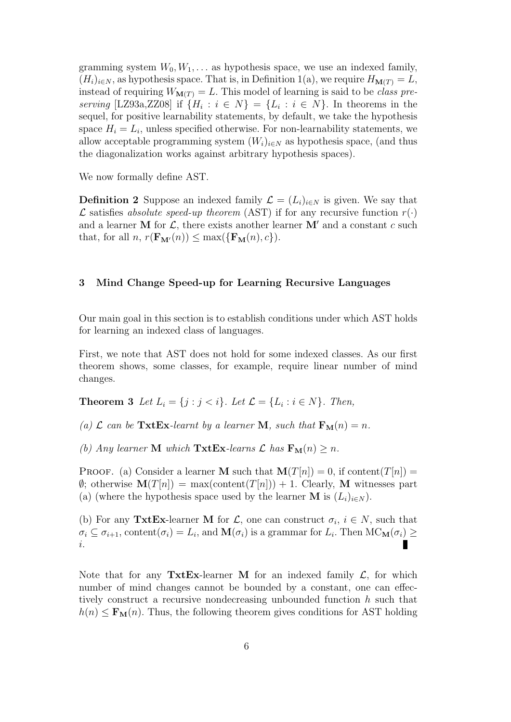gramming system  $W_0, W_1, \ldots$  as hypothesis space, we use an indexed family,  $(H_i)_{i\in\mathbb{N}}$ , as hypothesis space. That is, in Definition 1(a), we require  $H_{\mathbf{M}(T)} = L$ , instead of requiring  $W_{\mathbf{M}(T)} = L$ . This model of learning is said to be class preserving [LZ93a,ZZ08] if  $\{H_i : i \in N\} = \{L_i : i \in N\}$ . In theorems in the sequel, for positive learnability statements, by default, we take the hypothesis space  $H_i = L_i$ , unless specified otherwise. For non-learnability statements, we allow acceptable programming system  $(W_i)_{i\in N}$  as hypothesis space, (and thus the diagonalization works against arbitrary hypothesis spaces).

We now formally define AST.

**Definition 2** Suppose an indexed family  $\mathcal{L} = (L_i)_{i \in \mathbb{N}}$  is given. We say that  $\mathcal L$  satisfies absolute speed-up theorem (AST) if for any recursive function  $r(\cdot)$ and a learner M for  $\mathcal{L}$ , there exists another learner M' and a constant c such that, for all  $n, r(\mathbf{F}_{\mathbf{M}'}(n)) \leq \max(\{\mathbf{F}_{\mathbf{M}}(n), c\}).$ 

#### 3 Mind Change Speed-up for Learning Recursive Languages

Our main goal in this section is to establish conditions under which AST holds for learning an indexed class of languages.

First, we note that AST does not hold for some indexed classes. As our first theorem shows, some classes, for example, require linear number of mind changes.

**Theorem 3** Let  $L_i = \{j : j < i\}$ . Let  $\mathcal{L} = \{L_i : i \in N\}$ . Then,

(a)  $\mathcal L$  can be TxtEx-learnt by a learner M, such that  $F_M(n) = n$ .

(b) Any learner **M** which **TxtEx**-learns  $\mathcal{L}$  has  $\mathbf{F}_{\mathbf{M}}(n) \geq n$ .

**PROOF.** (a) Consider a learner **M** such that  $\mathbf{M}(T[n]) = 0$ , if content $(T[n]) = 0$  $\emptyset$ ; otherwise  $\mathbf{M}(T[n]) = \max(\mathrm{content}(T[n])) + 1$ . Clearly, M witnesses part (a) (where the hypothesis space used by the learner **M** is  $(L_i)_{i\in N}$ ).

(b) For any TxtEx-learner M for  $\mathcal{L}$ , one can construct  $\sigma_i$ ,  $i \in N$ , such that  $\sigma_i \subseteq \sigma_{i+1}$ , content $(\sigma_i) = L_i$ , and  $\mathbf{M}(\sigma_i)$  is a grammar for  $L_i$ . Then  $\mathrm{MC}_\mathbf{M}(\sigma_i) \geq$ П i.

Note that for any **TxtEx**-learner **M** for an indexed family  $\mathcal{L}$ , for which number of mind changes cannot be bounded by a constant, one can effectively construct a recursive nondecreasing unbounded function h such that  $h(n) \leq \mathbf{F}_{\mathbf{M}}(n)$ . Thus, the following theorem gives conditions for AST holding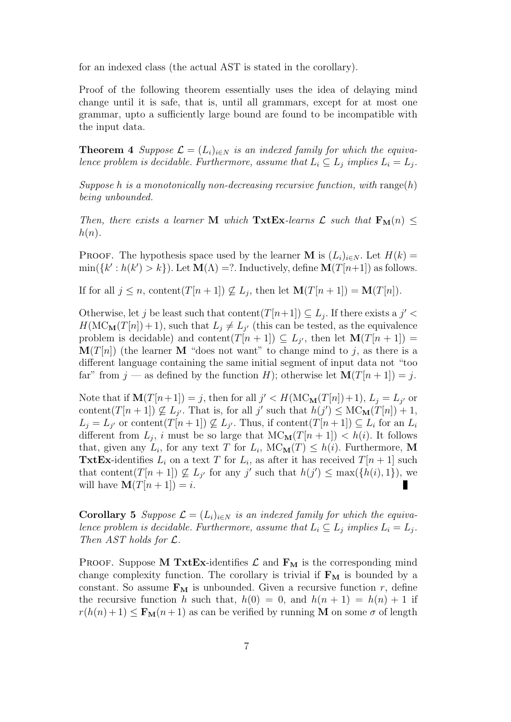for an indexed class (the actual AST is stated in the corollary).

Proof of the following theorem essentially uses the idea of delaying mind change until it is safe, that is, until all grammars, except for at most one grammar, upto a sufficiently large bound are found to be incompatible with the input data.

**Theorem 4** Suppose  $\mathcal{L} = (L_i)_{i \in \mathbb{N}}$  is an indexed family for which the equivalence problem is decidable. Furthermore, assume that  $L_i \subseteq L_j$  implies  $L_i = L_j$ .

Suppose h is a monotonically non-decreasing recursive function, with range(h) being unbounded.

Then, there exists a learner M which  $\text{Txt}\,\mathbf{Ex}$ -learns  $\mathcal L$  such that  $\mathbf{F}_{\mathbf{M}}(n) \leq$  $h(n)$ .

**PROOF.** The hypothesis space used by the learner **M** is  $(L_i)_{i \in N}$ . Let  $H(k)$  =  $\min({k':h(k') > k})$ . Let  $\mathbf{M}(\Lambda) = ?$ . Inductively, define  $\mathbf{M}(T[n+1])$  as follows.

If for all  $j \leq n$ , content $(T[n+1]) \not\subseteq L_j$ , then let  $\mathbf{M}(T[n+1]) = \mathbf{M}(T[n])$ .

Otherwise, let j be least such that content $(T[n+1]) \subseteq L_j$ . If there exists a j' <  $H(MC_{\mathbf{M}}(T[n]) + 1)$ , such that  $L_j \neq L_{j'}$  (this can be tested, as the equivalence problem is decidable) and content $(T[n+1]) \subseteq L_{j'}$ , then let  $\mathbf{M}(T[n+1]) =$  $\mathbf{M}(T[n])$  (the learner M "does not want" to change mind to j, as there is a different language containing the same initial segment of input data not "too far" from  $j$  — as defined by the function H); otherwise let  $\mathbf{M}(T[n+1]) = j$ .

Note that if  $\mathbf{M}(T[n+1]) = j$ , then for all  $j' < H(\mathrm{MC}_{\mathbf{M}}(T[n]) + 1)$ ,  $L_j = L_{j'}$  or content $(T[n+1]) \nsubseteq L_{j'}$ . That is, for all j' such that  $h(j') \leq \text{MC}_M(T[n]) + 1$ ,  $L_j = L_{j'}$  or content $(T[n+1]) \nsubseteq L_{j'}$ . Thus, if content $(T[n+1]) \subseteq L_i$  for an  $L_i$ different from  $L_j$ , i must be so large that  $MC_M(T[n+1]) < h(i)$ . It follows that, given any  $L_i$ , for any text T for  $L_i$ ,  $MC_{\mathbf{M}}(T) \leq h(i)$ . Furthermore, M **TxtEx**-identifies  $L_i$  on a text T for  $L_i$ , as after it has received  $T[n+1]$  such that content( $T[n+1]$ )  $\nsubseteq L_{j'}$  for any j' such that  $h(j') \leq \max({h(i), 1})$ , we will have  $\mathbf{M}(T[n+1]) = i$ . Г

**Corollary 5** Suppose  $\mathcal{L} = (L_i)_{i \in \mathbb{N}}$  is an indexed family for which the equivalence problem is decidable. Furthermore, assume that  $L_i \subseteq L_j$  implies  $L_i = L_j$ . Then AST holds for L.

PROOF. Suppose M TxtEx-identifies  $\mathcal L$  and  $F_M$  is the corresponding mind change complexity function. The corollary is trivial if  $F_M$  is bounded by a constant. So assume  $\mathbf{F}_{\mathbf{M}}$  is unbounded. Given a recursive function r, define the recursive function h such that,  $h(0) = 0$ , and  $h(n + 1) = h(n) + 1$  if  $r(h(n+1) \leq \mathbf{F}_{\mathbf{M}}(n+1)$  as can be verified by running **M** on some  $\sigma$  of length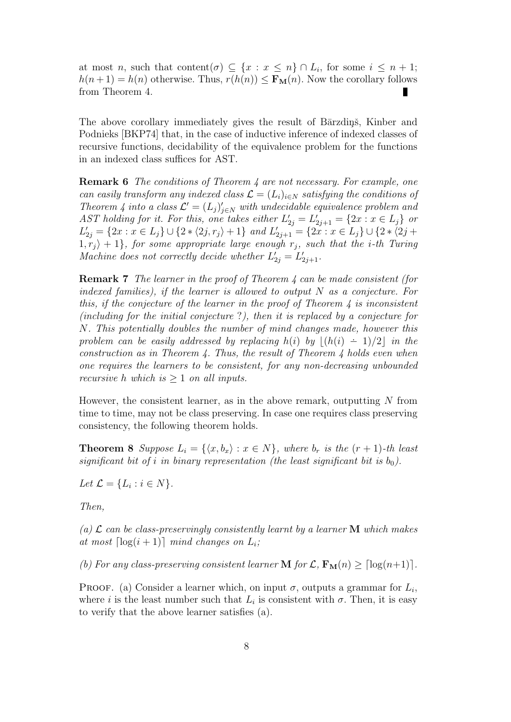at most *n*, such that content $(\sigma) \subseteq \{x : x \leq n\} \cap L_i$ , for some  $i \leq n+1$ ;  $h(n+1) = h(n)$  otherwise. Thus,  $r(h(n)) \leq \mathbf{F}_{\mathbf{M}}(n)$ . Now the corollary follows from Theorem 4. 

The above corollary immediately gives the result of Barzdin<sub>g</sub>, Kinber and Podnieks [BKP74] that, in the case of inductive inference of indexed classes of recursive functions, decidability of the equivalence problem for the functions in an indexed class suffices for AST.

Remark 6 The conditions of Theorem 4 are not necessary. For example, one can easily transform any indexed class  $\mathcal{L} = (L_i)_{i \in \mathbb{N}}$  satisfying the conditions of Theorem 4 into a class  $\mathcal{L}' = (L_j)'_{j \in N}$  with undecidable equivalence problem and AST holding for it. For this, one takes either  $L'_{2j} = L'_{2j+1} = \{2x : x \in L_j\}$  or  $L'_{2j} = \{2x : x \in L_j\} \cup \{2 \times \langle 2j, r_j \rangle + 1\}$  and  $L'_{2j+1} = \{2x : x \in L_j\} \cup \{2 \times \langle 2j + 1 \rangle\}$  $1, r_j \rangle + 1$ , for some appropriate large enough  $r_j$ , such that the *i*-th Turing Machine does not correctly decide whether  $L'_{2j} = L'_{2j+1}$ .

Remark 7 The learner in the proof of Theorem 4 can be made consistent (for indexed families), if the learner is allowed to output  $N$  as a conjecture. For this, if the conjecture of the learner in the proof of Theorem  $\lambda$  is inconsistent (including for the initial conjecture ?), then it is replaced by a conjecture for N. This potentially doubles the number of mind changes made, however this problem can be easily addressed by replacing h(i) by  $|(h(i) - 1)/2|$  in the construction as in Theorem 4. Thus, the result of Theorem 4 holds even when one requires the learners to be consistent, for any non-decreasing unbounded recursive h which is  $\geq 1$  on all inputs.

However, the consistent learner, as in the above remark, outputting  $N$  from time to time, may not be class preserving. In case one requires class preserving consistency, the following theorem holds.

**Theorem 8** Suppose  $L_i = \{ \langle x, b_x \rangle : x \in N \}$ , where  $b_r$  is the  $(r + 1)$ -th least significant bit of i in binary representation (the least significant bit is  $b_0$ ).

Let  $\mathcal{L} = \{L_i : i \in N\}.$ 

Then,

(a)  $\mathcal L$  can be class-preservingly consistently learnt by a learner **M** which makes at most  $\lceil \log(i + 1) \rceil$  mind changes on  $L_i$ ;

(b) For any class-preserving consistent learner **M** for  $\mathcal{L}, \mathbf{F}_{\mathbf{M}}(n) \geq \lceil \log(n+1) \rceil$ .

PROOF. (a) Consider a learner which, on input  $\sigma$ , outputs a grammar for  $L_i$ , where i is the least number such that  $L_i$  is consistent with  $\sigma$ . Then, it is easy to verify that the above learner satisfies (a).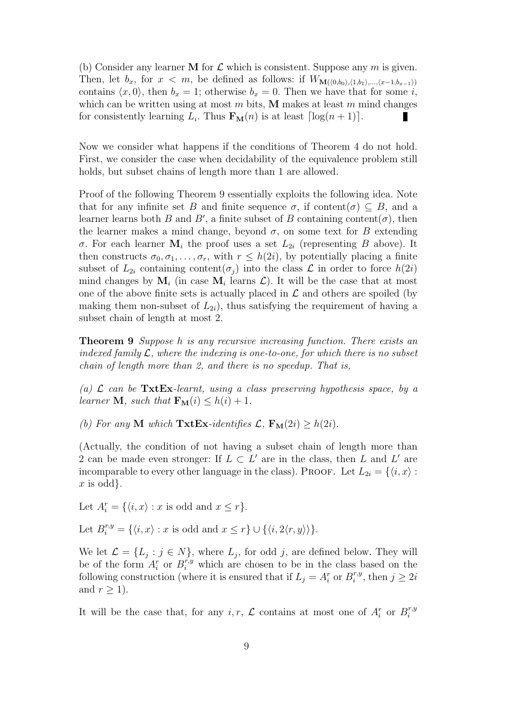(b) Consider any learner **M** for  $\mathcal L$  which is consistent. Suppose any m is given. Then, let  $b_x$ , for  $x < m$ , be defined as follows: if  $W_{\mathbf{M}((0,b_0),(1,b_1),...,(x-1,b_{x-1}))}$ contains  $\langle x, 0 \rangle$ , then  $b_x = 1$ ; otherwise  $b_x = 0$ . Then we have that for some i, which can be written using at most  $m$  bits, M makes at least  $m$  mind changes for consistently learning  $L_i$ . Thus  $\mathbf{F}_{\mathbf{M}}(n)$  is at least  $\lceil \log(n + 1) \rceil$ . П

Now we consider what happens if the conditions of Theorem 4 do not hold. First, we consider the case when decidability of the equivalence problem still holds, but subset chains of length more than 1 are allowed.

Proof of the following Theorem 9 essentially exploits the following idea. Note that for any infinite set B and finite sequence  $\sigma$ , if content $(\sigma) \subseteq B$ , and a learner learns both B and B', a finite subset of B containing content $(\sigma)$ , then the learner makes a mind change, beyond  $\sigma$ , on some text for B extending σ. For each learner  $\mathbf{M}_i$  the proof uses a set  $L_{2i}$  (representing B above). It then constructs  $\sigma_0, \sigma_1, \ldots, \sigma_r$ , with  $r \leq h(2i)$ , by potentially placing a finite subset of  $L_{2i}$  containing content( $\sigma_i$ ) into the class  $\mathcal L$  in order to force  $h(2i)$ mind changes by  $\mathbf{M}_i$  (in case  $\mathbf{M}_i$  learns  $\mathcal{L}$ ). It will be the case that at most one of the above finite sets is actually placed in  $\mathcal L$  and others are spoiled (by making them non-subset of  $L_{2i}$ , thus satisfying the requirement of having a subset chain of length at most 2.

Theorem 9 Suppose h is any recursive increasing function. There exists an indexed family  $\mathcal{L}$ , where the indexing is one-to-one, for which there is no subset chain of length more than 2, and there is no speedup. That is,

(a)  $\mathcal{L}$  can be TxtEx-learnt, using a class preserving hypothesis space, by a learner **M**, such that  $\mathbf{F}_{\mathbf{M}}(i) \leq h(i) + 1$ .

(b) For any M which TxtEx-identifies  $\mathcal{L}$ ,  $\mathbf{F}_{\mathbf{M}}(2i) \geq h(2i)$ .

(Actually, the condition of not having a subset chain of length more than 2 can be made even stronger: If  $L \subset L'$  are in the class, then L and L' are incomparable to every other language in the class). PROOF. Let  $L_{2i} = \{ \langle i, x \rangle :$  $x$  is odd.

Let  $A_i^r = \{ \langle i, x \rangle : x \text{ is odd and } x \leq r \}.$ 

Let  $B_i^{r,y} = \{ \langle i, x \rangle : x \text{ is odd and } x \leq r \} \cup \{ \langle i, 2 \langle r, y \rangle \rangle \}.$ 

We let  $\mathcal{L} = \{L_j : j \in N\}$ , where  $L_j$ , for odd j, are defined below. They will be of the form  $A_i^r$  or  $B_i^{r,y}$  which are chosen to be in the class based on the following construction (where it is ensured that if  $L_j = A_i^r$  or  $B_i^{r,y}$  $i^{r,y}$ , then  $j \geq 2i$ and  $r \geq 1$ ).

It will be the case that, for any  $i, r, \mathcal{L}$  contains at most one of  $A_i^r$  or  $B_i^{r,y}$ i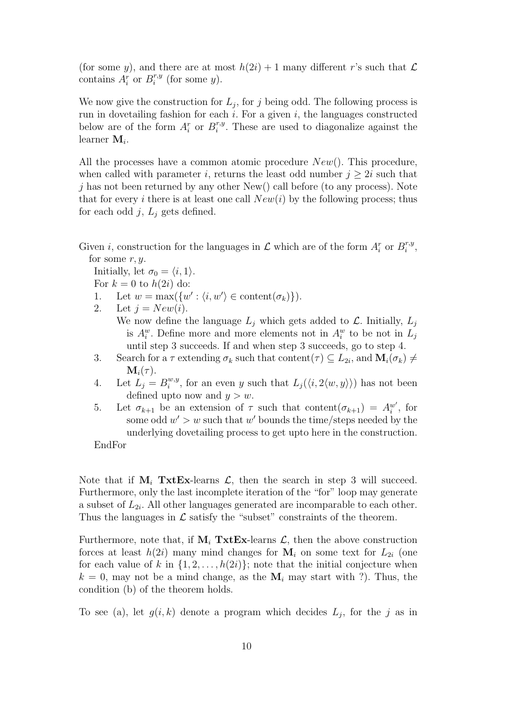(for some y), and there are at most  $h(2i) + 1$  many different r's such that  $\mathcal L$ contains  $A_i^r$  or  $B_i^{r,y}$  $i^{r,y}$  (for some y).

We now give the construction for  $L_j$ , for j being odd. The following process is run in dovetailing fashion for each  $i$ . For a given  $i$ , the languages constructed below are of the form  $A_i^r$  or  $B_i^{r,y}$  $i^{r,y}$ . These are used to diagonalize against the learner  $M_i$ .

All the processes have a common atomic procedure  $New()$ . This procedure, when called with parameter i, returns the least odd number  $j \geq 2i$  such that  $j$  has not been returned by any other New() call before (to any process). Note that for every i there is at least one call  $New(i)$  by the following process; thus for each odd j,  $L_i$  gets defined.

Given *i*, construction for the languages in  $\mathcal L$  which are of the form  $A_i^r$  or  $B_i^{r,y}$  $i^{r,y}$ for some  $r, y$ .

Initially, let  $\sigma_0 = \langle i, 1 \rangle$ .

For  $k = 0$  to  $h(2i)$  do:

- 1. Let  $w = \max({w' : \langle i, w' \rangle \in \text{content}(\sigma_k)}).$
- 2. Let  $j = New(i)$ . We now define the language  $L_j$  which gets added to  $\mathcal{L}$ . Initially,  $L_j$ is  $A_i^w$ . Define more and more elements not in  $A_i^w$  to be not in  $L_j$ until step 3 succeeds. If and when step 3 succeeds, go to step 4.
- 3. Search for a  $\tau$  extending  $\sigma_k$  such that content $(\tau) \subseteq L_{2i}$ , and  $\mathbf{M}_i(\sigma_k) \neq$  $\mathbf{M}_i(\tau)$ .
- 4. Let  $L_j = B_i^{w,y}$  $i^{w,y}$ , for an even y such that  $L_j(\langle i, 2\langle w, y \rangle)$  has not been defined upto now and  $y > w$ .
- 5. Let  $\sigma_{k+1}$  be an extension of  $\tau$  such that content $(\sigma_{k+1}) = A_i^{w'}$ , for some odd  $w' > w$  such that w' bounds the time/steps needed by the underlying dovetailing process to get upto here in the construction.

EndFor

Note that if  $M_i$  TxtEx-learns  $\mathcal{L}$ , then the search in step 3 will succeed. Furthermore, only the last incomplete iteration of the "for" loop may generate a subset of  $L_{2i}$ . All other languages generated are incomparable to each other. Thus the languages in  $\mathcal L$  satisfy the "subset" constraints of the theorem.

Furthermore, note that, if  $M_i$  TxtEx-learns  $\mathcal{L}$ , then the above construction forces at least  $h(2i)$  many mind changes for  $M_i$  on some text for  $L_{2i}$  (one for each value of k in  $\{1, 2, \ldots, h(2i)\}$ ; note that the initial conjecture when  $k = 0$ , may not be a mind change, as the  $M_i$  may start with ?). Thus, the condition (b) of the theorem holds.

To see (a), let  $g(i,k)$  denote a program which decides  $L_j$ , for the j as in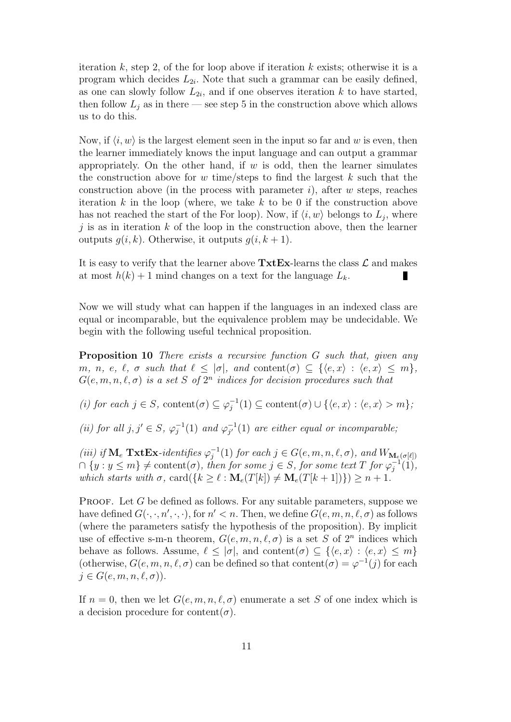iteration k, step 2, of the for loop above if iteration k exists; otherwise it is a program which decides  $L_{2i}$ . Note that such a grammar can be easily defined, as one can slowly follow  $L_{2i}$ , and if one observes iteration k to have started, then follow  $L_j$  as in there — see step 5 in the construction above which allows us to do this.

Now, if  $\langle i, w \rangle$  is the largest element seen in the input so far and w is even, then the learner immediately knows the input language and can output a grammar appropriately. On the other hand, if  $w$  is odd, then the learner simulates the construction above for w time/steps to find the largest  $k$  such that the construction above (in the process with parameter  $i$ ), after w steps, reaches iteration  $k$  in the loop (where, we take  $k$  to be 0 if the construction above has not reached the start of the For loop). Now, if  $\langle i, w \rangle$  belongs to  $L_j$ , where j is as in iteration  $k$  of the loop in the construction above, then the learner outputs  $q(i, k)$ . Otherwise, it outputs  $q(i, k+1)$ .

It is easy to verify that the learner above  $\text{Txt}\text{Ex}$ -learns the class  $\mathcal L$  and makes at most  $h(k) + 1$  mind changes on a text for the language  $L_k$ . 

Now we will study what can happen if the languages in an indexed class are equal or incomparable, but the equivalence problem may be undecidable. We begin with the following useful technical proposition.

Proposition 10 There exists a recursive function G such that, given any m, n, e,  $\ell$ ,  $\sigma$  such that  $\ell \leq |\sigma|$ , and content $(\sigma) \subseteq {\{\langle e, x \rangle : \langle e, x \rangle \leq m\}}$ ,  $G(e, m, n, \ell, \sigma)$  is a set S of  $2^n$  indices for decision procedures such that

(i) for each  $j \in S$ , content $(\sigma) \subseteq \varphi_j^{-1}(1) \subseteq \text{content}(\sigma) \cup \{ \langle e, x \rangle : \langle e, x \rangle > m \}$ ;

(ii) for all  $j, j' \in S$ ,  $\varphi_j^{-1}(1)$  and  $\varphi_{j'}^{-1}$  $_{j'}^{-1}(1)$  are either equal or incomparable;

(iii) if  $\mathbf{M}_e$   $\text{Txt}\text{Ex-}i\text{dentifies }\varphi_j^{-1}(1)$  for each  $j \in G(e, m, n, \ell, \sigma)$ , and  $W_{\text{M}_e(\sigma[\ell])}$  $\{y : y \leq m\} \neq \text{content}(\sigma)$ , then for some  $j \in S$ , for some text T for  $\varphi_j^{-1}(1)$ , which starts with  $\sigma$ , card $({k \geq \ell : \mathbf{M}_e(T[k]) \neq \mathbf{M}_e(T[k+1])}) \geq n+1$ .

PROOF. Let  $G$  be defined as follows. For any suitable parameters, suppose we have defined  $G(\cdot, \cdot, n', \cdot, \cdot)$ , for  $n' < n$ . Then, we define  $G(e, m, n, \ell, \sigma)$  as follows (where the parameters satisfy the hypothesis of the proposition). By implicit use of effective s-m-n theorem,  $G(e, m, n, \ell, \sigma)$  is a set S of  $2^n$  indices which behave as follows. Assume,  $\ell \leq |\sigma|$ , and content $(\sigma) \subseteq {\{\langle e, x \rangle : \langle e, x \rangle \leq m\}}$ (otherwise,  $G(e, m, n, \ell, \sigma)$  can be defined so that content $(\sigma) = \varphi^{-1}(j)$  for each  $j \in G(e, m, n, \ell, \sigma)$ ).

If  $n = 0$ , then we let  $G(e, m, n, \ell, \sigma)$  enumerate a set S of one index which is a decision procedure for content $(\sigma)$ .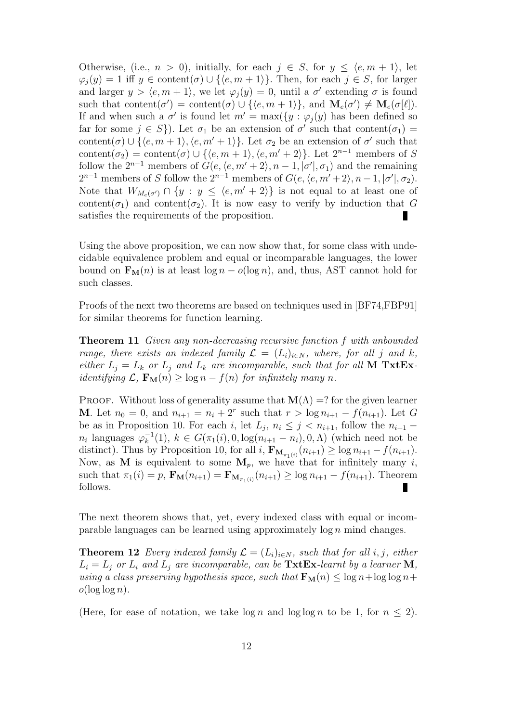Otherwise, (i.e.,  $n > 0$ ), initially, for each  $j \in S$ , for  $y \leq \langle e, m + 1 \rangle$ , let  $\varphi_i(y) = 1$  iff  $y \in \text{content}(\sigma) \cup \{\langle e, m + 1 \rangle\}.$  Then, for each  $j \in S$ , for larger and larger  $y > \langle e, m + 1 \rangle$ , we let  $\varphi_j(y) = 0$ , until a  $\sigma'$  extending  $\sigma$  is found such that content( $\sigma'$ ) = content( $\sigma$ )  $\cup$  { $\langle e, m + 1 \rangle$ }, and  $\mathbf{M}_{e}(\sigma') \neq \mathbf{M}_{e}(\sigma[\ell])$ . If and when such a  $\sigma'$  is found let  $m' = \max({y : \varphi_j(y)}$  has been defined so far for some  $j \in S$ ). Let  $\sigma_1$  be an extension of  $\sigma'$  such that content $(\sigma_1)$  = content( $\sigma$ )  $\cup$  { $\langle e, m + 1 \rangle$ ,  $\langle e, m' + 1 \rangle$ }. Let  $\sigma_2$  be an extension of  $\sigma'$  such that content( $\sigma_2$ ) = content( $\sigma$ ) ∪ { $\langle e, m+1 \rangle$ ,  $\langle e, m'+2 \rangle$ }. Let  $2^{n-1}$  members of S follow the  $2^{n-1}$  members of  $G(e, \langle e, m' + 2 \rangle, n - 1, |\sigma'|, \sigma_1)$  and the remaining  $2^{n-1}$  members of S follow the  $2^{n-1}$  members of  $G(e, \langle e, m'+2 \rangle, n-1, |\sigma'|, \sigma_2)$ . Note that  $W_{M_e(\sigma')} \cap \{y : y \leq \langle e, m' + 2 \rangle\}$  is not equal to at least one of content( $\sigma_1$ ) and content( $\sigma_2$ ). It is now easy to verify by induction that G satisfies the requirements of the proposition.

Using the above proposition, we can now show that, for some class with undecidable equivalence problem and equal or incomparable languages, the lower bound on  $\mathbf{F}_{\mathbf{M}}(n)$  is at least  $\log n - o(\log n)$ , and, thus, AST cannot hold for such classes.

Proofs of the next two theorems are based on techniques used in [BF74,FBP91] for similar theorems for function learning.

Theorem 11 Given any non-decreasing recursive function f with unbounded range, there exists an indexed family  $\mathcal{L} = (L_i)_{i \in N}$ , where, for all j and k, either  $L_j = L_k$  or  $L_j$  and  $L_k$  are incomparable, such that for all **M** TxtEx*identifying*  $\mathcal{L}, \mathbf{F}_{\mathbf{M}}(n) \geq \log n - f(n)$  for *infinitely many n*.

**PROOF.** Without loss of generality assume that  $\mathbf{M}(\Lambda) = ?$  for the given learner **M**. Let  $n_0 = 0$ , and  $n_{i+1} = n_i + 2^r$  such that  $r > \log n_{i+1} - f(n_{i+1})$ . Let G be as in Proposition 10. For each i, let  $L_j$ ,  $n_i \leq j \leq n_{i+1}$ , follow the  $n_{i+1}$  $n_i$  languages  $\varphi_k^{-1}(1)$ ,  $k \in G(\pi_1(i), 0, \log(n_{i+1} - n_i), 0, \Lambda)$  (which need not be distinct). Thus by Proposition 10, for all  $i$ ,  $\mathbf{F}_{\mathbf{M}_{\pi_1(i)}}(n_{i+1}) \ge \log n_{i+1} - f(n_{i+1})$ . Now, as M is equivalent to some  $M_p$ , we have that for infinitely many i, such that  $\pi_1(i) = p$ ,  $\mathbf{F_M}(n_{i+1}) = \mathbf{F}_{\mathbf{M}_{\pi_1(i)}}(n_{i+1}) \ge \log n_{i+1} - f(n_{i+1})$ . Theorem follows.

The next theorem shows that, yet, every indexed class with equal or incomparable languages can be learned using approximately  $\log n$  mind changes.

**Theorem 12** Every indexed family  $\mathcal{L} = (L_i)_{i \in N}$ , such that for all i, j, either  $L_i = L_j$  or  $L_i$  and  $L_j$  are incomparable, can be  $\text{Txt}\text{Ex}\text{-}learnt$  by a learner M, using a class preserving hypothesis space, such that  $\mathbf{F}_{\mathbf{M}}(n) \leq \log n + \log \log n +$  $o(\log \log n)$ .

(Here, for ease of notation, we take  $\log n$  and  $\log \log n$  to be 1, for  $n \leq 2$ ).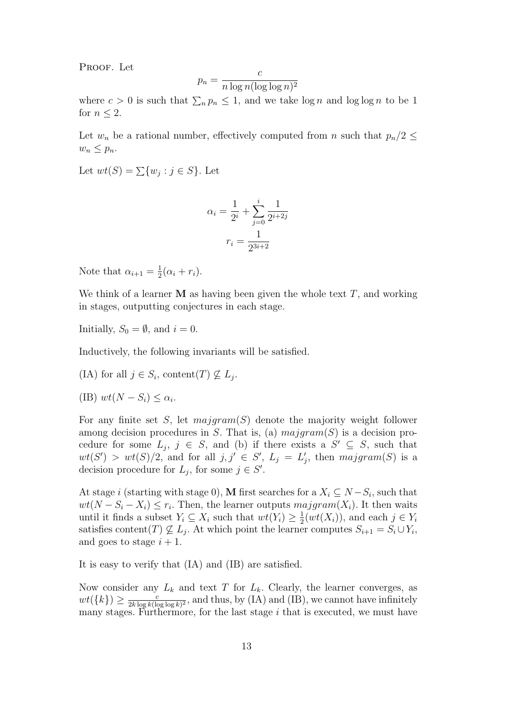PROOF. Let

$$
p_n = \frac{c}{n \log n (\log \log n)^2}
$$

where  $c > 0$  is such that  $\sum_n p_n \leq 1$ , and we take  $\log n$  and  $\log \log n$  to be 1 for  $n \leq 2$ .

Let  $w_n$  be a rational number, effectively computed from n such that  $p_n/2 \leq$  $w_n \leq p_n$ .

Let  $wt(S) = \sum \{w_j : j \in S\}$ . Let

$$
\alpha_i = \frac{1}{2^i} + \sum_{j=0}^i \frac{1}{2^{i+2j}}
$$

$$
r_i = \frac{1}{2^{3i+2}}
$$

Note that  $\alpha_{i+1} = \frac{1}{2}$  $\frac{1}{2}(\alpha_i+r_i).$ 

We think of a learner  **as having been given the whole text**  $T$ **, and working** in stages, outputting conjectures in each stage.

Initially,  $S_0 = \emptyset$ , and  $i = 0$ .

Inductively, the following invariants will be satisfied.

(IA) for all  $j \in S_i$ , content(T)  $\nsubseteq L_j$ .

$$
(IB) wt(N - S_i) \le \alpha_i.
$$

For any finite set S, let  $\text{majgram}(S)$  denote the majority weight follower among decision procedures in S. That is, (a)  $\mathit{majoram}(S)$  is a decision procedure for some  $L_j$ ,  $j \in S$ , and (b) if there exists a  $S' \subseteq S$ , such that  $wt(S') > wt(S)/2$ , and for all  $j, j' \in S'$ ,  $L_j = L'_j$ , then  $majgram(S)$  is a decision procedure for  $L_j$ , for some  $j \in S'$ .

At stage i (starting with stage 0), M first searches for a  $X_i \subseteq N - S_i$ , such that  $wt(N-S_i-X_i) \leq r_i$ . Then, the learner outputs  $majoram(X_i)$ . It then waits until it finds a subset  $Y_i \subseteq X_i$  such that  $wt(Y_i) \geq \frac{1}{2}$  $\frac{1}{2}(wt(X_i))$ , and each  $j \in Y_i$ satisfies content(T)  $\nsubseteq L_j$ . At which point the learner computes  $S_{i+1} = S_i \cup Y_i$ , and goes to stage  $i + 1$ .

It is easy to verify that (IA) and (IB) are satisfied.

Now consider any  $L_k$  and text T for  $L_k$ . Clearly, the learner converges, as  $wt(\lbrace k \rbrace) \geq \frac{c}{2k \log k}$  $\frac{c}{2k \log k(\log \log k)^2}$ , and thus, by (IA) and (IB), we cannot have infinitely many stages. Furthermore, for the last stage  $i$  that is executed, we must have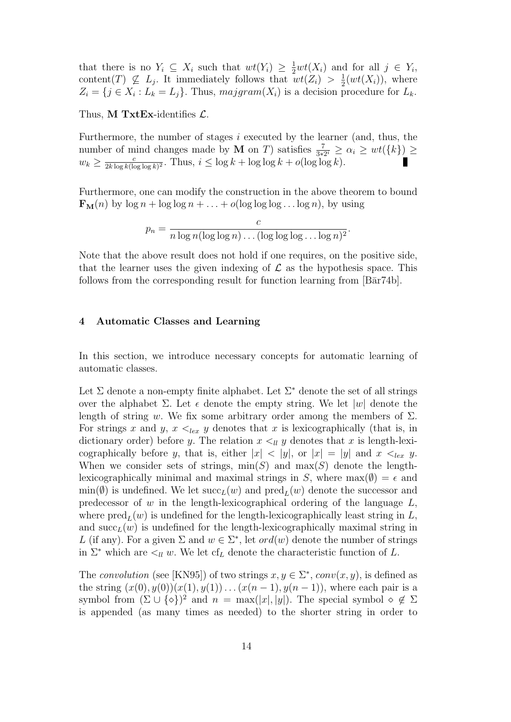that there is no  $Y_i \subseteq X_i$  such that  $wt(Y_i) \geq \frac{1}{2}wt(X_i)$  and for all  $j \in Y_i$ , content(T)  $\nsubseteq L_j$ . It immediately follows that  $wt(Z_i) > \frac{1}{2}$  $\frac{1}{2}(wt(X_i))$ , where  $Z_i = \{j \in X_i : L_k = L_j\}.$  Thus,  $\text{majoram}(X_i)$  is a decision procedure for  $L_k$ .

Thus, **M TxtEx**-identifies  $\mathcal{L}$ .

Furthermore, the number of stages  $i$  executed by the learner (and, thus, the number of mind changes made by **M** on *T*) satisfies  $\frac{7}{3*2^i} \ge \alpha_i \ge wt(\lbrace k \rbrace) \ge$  $w_k \geq \frac{c}{2k \log k}$  $\frac{c}{2k\log k(\log\log k)^2}$ . Thus,  $i \leq \log k + \log\log k + o(\log\log k)$ .

Furthermore, one can modify the construction in the above theorem to bound  $\mathbf{F}_{\mathbf{M}}(n)$  by  $\log n + \log \log n + \ldots + o(\log \log \log \ldots \log n)$ , by using

$$
p_n = \frac{c}{n \log n (\log \log n) \dots (\log \log \log \dots \log n)^2}.
$$

Note that the above result does not hold if one requires, on the positive side, that the learner uses the given indexing of  $\mathcal L$  as the hypothesis space. This follows from the corresponding result for function learning from  $[B\bar{a}r74b]$ .

#### 4 Automatic Classes and Learning

In this section, we introduce necessary concepts for automatic learning of automatic classes.

Let  $\Sigma$  denote a non-empty finite alphabet. Let  $\Sigma^*$  denote the set of all strings over the alphabet  $\Sigma$ . Let  $\epsilon$  denote the empty string. We let  $|w|$  denote the length of string w. We fix some arbitrary order among the members of  $\Sigma$ . For strings x and y,  $x \leq_{lex} y$  denotes that x is lexicographically (that is, in dictionary order) before y. The relation  $x \leq_l y$  denotes that x is length-lexicographically before y, that is, either  $|x| < |y|$ , or  $|x| = |y|$  and  $x <_{lex} y$ . When we consider sets of strings,  $\min(S)$  and  $\max(S)$  denote the lengthlexicographically minimal and maximal strings in S, where max $(\emptyset) = \epsilon$  and  $min(\emptyset)$  is undefined. We let  $succ<sub>L</sub>(w)$  and  $pred<sub>L</sub>(w)$  denote the successor and predecessor of  $w$  in the length-lexicographical ordering of the language  $L$ , where  $\text{pred}_{L}(w)$  is undefined for the length-lexicographically least string in L, and  $succ<sub>L</sub>(w)$  is undefined for the length-lexicographically maximal string in L (if any). For a given  $\Sigma$  and  $w \in \Sigma^*$ , let  $ord(w)$  denote the number of strings in  $\Sigma^*$  which are  $\lt_l u$  w. We let cf<sub>L</sub> denote the characteristic function of L.

The convolution (see [KN95]) of two strings  $x, y \in \Sigma^*$ , conv $(x, y)$ , is defined as the string  $(x(0), y(0))(x(1), y(1)) \dots (x(n-1), y(n-1))$ , where each pair is a symbol from  $(\Sigma \cup {\{\diamond\}})^2$  and  $n = \max(|x|, |y|)$ . The special symbol  $\diamond \notin \Sigma$ is appended (as many times as needed) to the shorter string in order to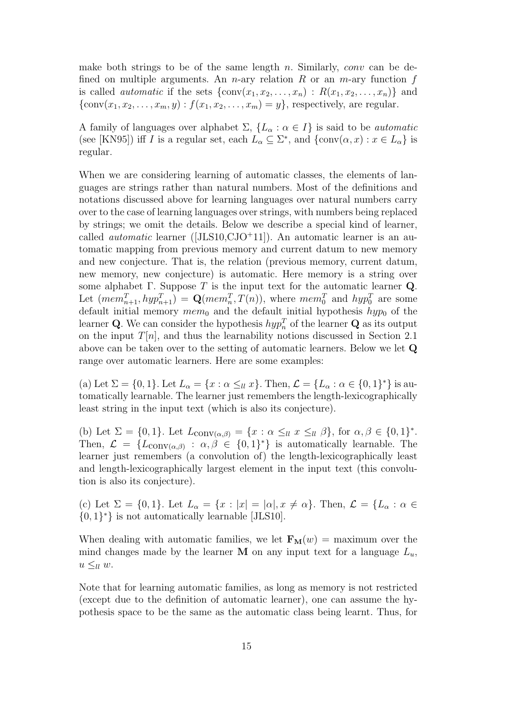make both strings to be of the same length n. Similarly, conv can be defined on multiple arguments. An *n*-ary relation R or an *m*-ary function  $f$ is called *automatic* if the sets  $\{\text{conv}(x_1, x_2, \ldots, x_n) : R(x_1, x_2, \ldots, x_n)\}\$  and  ${\text{conv}(x_1, x_2, \ldots, x_m, y) : f(x_1, x_2, \ldots, x_m) = y}$ , respectively, are regular.

A family of languages over alphabet  $\Sigma$ ,  $\{L_{\alpha} : \alpha \in I\}$  is said to be *automatic* (see [KN95]) iff I is a regular set, each  $L_{\alpha} \subseteq \Sigma^*$ , and  $\{\text{conv}(\alpha, x) : x \in L_{\alpha}\}\)$ regular.

When we are considering learning of automatic classes, the elements of languages are strings rather than natural numbers. Most of the definitions and notations discussed above for learning languages over natural numbers carry over to the case of learning languages over strings, with numbers being replaced by strings; we omit the details. Below we describe a special kind of learner, called *automatic* learner ([JLS10,CJO<sup>+</sup>11]). An automatic learner is an automatic mapping from previous memory and current datum to new memory and new conjecture. That is, the relation (previous memory, current datum, new memory, new conjecture) is automatic. Here memory is a string over some alphabet Γ. Suppose T is the input text for the automatic learner  $Q$ . Let  $(mem_{n+1}^T, hyp_{n+1}^T) = \mathbf{Q}(mem_n^T, T(n)),$  where  $mem_0^T$  and  $hyp_0^T$  are some default initial memory  $mem_0$  and the default initial hypothesis  $hyp_0$  of the learner Q. We can consider the hypothesis  $hyp_n^T$  of the learner Q as its output on the input  $T[n]$ , and thus the learnability notions discussed in Section 2.1 above can be taken over to the setting of automatic learners. Below we let Q range over automatic learners. Here are some examples:

(a) Let  $\Sigma = \{0,1\}$ . Let  $L_{\alpha} = \{x : \alpha \leq_{ll} x\}$ . Then,  $\mathcal{L} = \{L_{\alpha} : \alpha \in \{0,1\}^*\}$  is automatically learnable. The learner just remembers the length-lexicographically least string in the input text (which is also its conjecture).

(b) Let  $\Sigma = \{0,1\}$ . Let  $L_{\text{conv}(\alpha,\beta)} = \{x : \alpha \leq_{ll} x \leq_{ll} \beta\}$ , for  $\alpha, \beta \in \{0,1\}^*$ . Then,  $\mathcal{L} = \{L_{\text{conv}(\alpha,\beta)} : \alpha,\beta \in \{0,1\}^*\}$  is automatically learnable. The learner just remembers (a convolution of) the length-lexicographically least and length-lexicographically largest element in the input text (this convolution is also its conjecture).

(c) Let  $\Sigma = \{0,1\}$ . Let  $L_{\alpha} = \{x : |x| = |\alpha|, x \neq \alpha\}$ . Then,  $\mathcal{L} = \{L_{\alpha} : \alpha \in \mathcal{L}\}$  $\{0,1\}^*$  is not automatically learnable [JLS10].

When dealing with automatic families, we let  $\mathbf{F}_{\mathbf{M}}(w) = \text{maximum over the}$ mind changes made by the learner **M** on any input text for a language  $L_u$ ,  $u \leq_{ll} w$ .

Note that for learning automatic families, as long as memory is not restricted (except due to the definition of automatic learner), one can assume the hypothesis space to be the same as the automatic class being learnt. Thus, for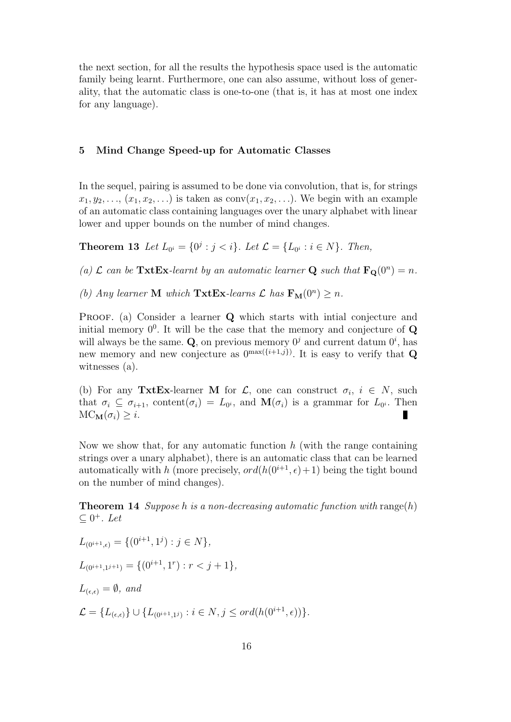the next section, for all the results the hypothesis space used is the automatic family being learnt. Furthermore, one can also assume, without loss of generality, that the automatic class is one-to-one (that is, it has at most one index for any language).

#### 5 Mind Change Speed-up for Automatic Classes

In the sequel, pairing is assumed to be done via convolution, that is, for strings  $x_1, y_2, \ldots, (x_1, x_2, \ldots)$  is taken as  $conv(x_1, x_2, \ldots)$ . We begin with an example of an automatic class containing languages over the unary alphabet with linear lower and upper bounds on the number of mind changes.

**Theorem 13** Let  $L_{0^i} = \{0^j : j < i\}$ . Let  $\mathcal{L} = \{L_{0^i} : i \in N\}$ . Then,

(a)  $\mathcal L$  can be TxtEx-learnt by an automatic learner **Q** such that  $\mathbf{F}_{\mathbf{Q}}(0^n) = n$ .

(b) Any learner **M** which  $\text{Txt}\text{Ex-learns }\mathcal{L}$  has  $\text{F}_{\text{M}}(0^n) \geq n$ .

PROOF. (a) Consider a learner Q which starts with intial conjecture and initial memory  $0^0$ . It will be the case that the memory and conjecture of  $Q$ will always be the same. Q, on previous memory  $0^j$  and current datum  $0^i$ , has new memory and new conjecture as  $0^{\max(\{i+1,j\})}$ . It is easy to verify that Q witnesses (a).

(b) For any TxtEx-learner M for  $\mathcal{L}$ , one can construct  $\sigma_i$ ,  $i \in N$ , such that  $\sigma_i \subseteq \sigma_{i+1}$ , content $(\sigma_i) = L_{0^i}$ , and  $\mathbf{M}(\sigma_i)$  is a grammar for  $L_{0^i}$ . Then  $MC_{\mathbf{M}}(\sigma_i) \geq i.$ п

Now we show that, for any automatic function  $h$  (with the range containing strings over a unary alphabet), there is an automatic class that can be learned automatically with h (more precisely,  $ord(h(0^{i+1}, \epsilon) + 1)$ ) being the tight bound on the number of mind changes).

**Theorem 14** Suppose h is a non-decreasing automatic function with range(h)  $\subseteq$  0<sup>+</sup>. Let

 $L_{(0^{i+1},\epsilon)} = \{(0^{i+1},1^j) : j \in N\},\$  $L_{(0^{i+1},1^{j+1})} = \{(0^{i+1},1^r) : r < j+1\},\$  $L_{(\epsilon,\epsilon)} = \emptyset$ , and  $\mathcal{L} = \{L_{(\epsilon,\epsilon)}\} \cup \{L_{(0^{i+1},1^j)} : i \in N, j \leq \text{ord}(h(0^{i+1},\epsilon))\}.$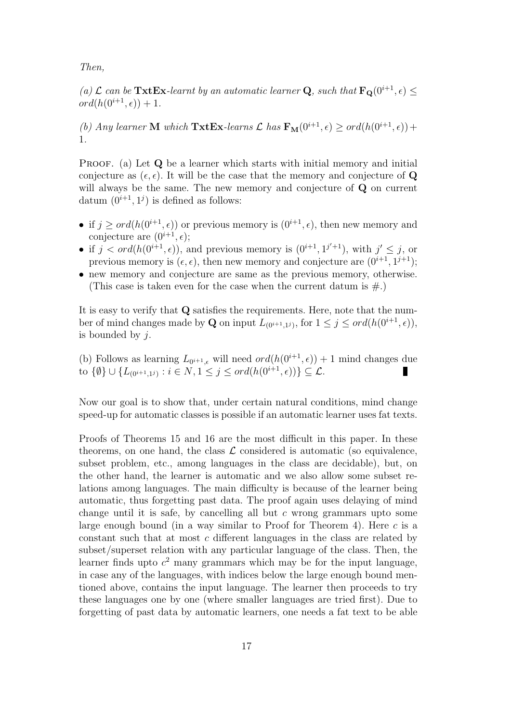Then,

(a)  $\mathcal L$  can be  $\text{Txt}\text{Ext}\text{Ex-learn}$  by an automatic learner **Q**, such that  $\text{F}_{\text{Q}}(0^{i+1}, \epsilon) \leq$  $\overline{ord}(h(0^{i+1}, \epsilon)) + 1.$ 

(b) Any learner **M** which  $\text{Txt}\text{Ex-learns }\mathcal{L}$  has  $\text{F}_{\text{M}}(0^{i+1}, \epsilon) \geq \text{ord}(h(0^{i+1}, \epsilon)) +$ 1.

PROOF. (a) Let Q be a learner which starts with initial memory and initial conjecture as  $(\epsilon, \epsilon)$ . It will be the case that the memory and conjecture of Q will always be the same. The new memory and conjecture of **Q** on current datum  $(0^{i+1}, 1^j)$  is defined as follows:

- if  $j \geq \text{ord}(h(0^{i+1}, \epsilon))$  or previous memory is  $(0^{i+1}, \epsilon)$ , then new memory and conjecture are  $(0^{i+1}, \epsilon)$ ;
- if  $j < ord(h(0^{i+1}, \epsilon))$ , and previous memory is  $(0^{i+1}, 1^{j'+1})$ , with  $j' \leq j$ , or previous memory is  $(\epsilon, \epsilon)$ , then new memory and conjecture are  $(0^{i+1}, 1^{j+1})$ ;
- new memory and conjecture are same as the previous memory, otherwise. (This case is taken even for the case when the current datum is  $\#$ .)

It is easy to verify that Q satisfies the requirements. Here, note that the number of mind changes made by **Q** on input  $L_{(0^{i+1},1^j)}$ , for  $1 \leq j \leq \text{ord}(h(0^{i+1},\epsilon))$ , is bounded by  $j$ .

(b) Follows as learning  $L_{0^{i+1},\epsilon}$  will need  $ord(h(0^{i+1},\epsilon)) + 1$  mind changes due to  $\{\emptyset\} \cup \{L_{(0^{i+1},1^j)} : i \in N, 1 \le j \le ord(h(0^{i+1}, \epsilon))\} \subseteq \mathcal{L}.$ П

Now our goal is to show that, under certain natural conditions, mind change speed-up for automatic classes is possible if an automatic learner uses fat texts.

Proofs of Theorems 15 and 16 are the most difficult in this paper. In these theorems, on one hand, the class  $\mathcal L$  considered is automatic (so equivalence, subset problem, etc., among languages in the class are decidable), but, on the other hand, the learner is automatic and we also allow some subset relations among languages. The main difficulty is because of the learner being automatic, thus forgetting past data. The proof again uses delaying of mind change until it is safe, by cancelling all but  $c$  wrong grammars upto some large enough bound (in a way similar to Proof for Theorem 4). Here  $c$  is a constant such that at most c different languages in the class are related by subset/superset relation with any particular language of the class. Then, the learner finds upto  $c^2$  many grammars which may be for the input language, in case any of the languages, with indices below the large enough bound mentioned above, contains the input language. The learner then proceeds to try these languages one by one (where smaller languages are tried first). Due to forgetting of past data by automatic learners, one needs a fat text to be able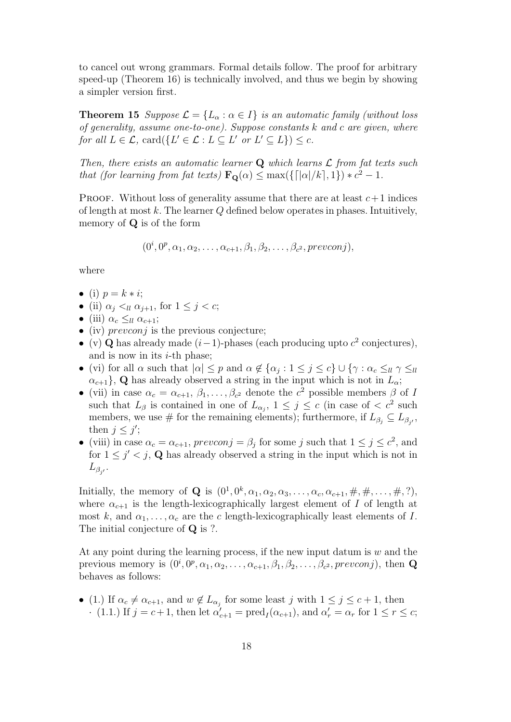to cancel out wrong grammars. Formal details follow. The proof for arbitrary speed-up (Theorem 16) is technically involved, and thus we begin by showing a simpler version first.

**Theorem 15** Suppose  $\mathcal{L} = \{L_{\alpha} : \alpha \in I\}$  is an automatic family (without loss of generality, assume one-to-one). Suppose constants k and c are given, where for all  $L \in \mathcal{L}$ ,  $\text{card}(\{L' \in \mathcal{L} : L \subseteq L' \text{ or } L' \subseteq L\}) \leq c$ .

Then, there exists an automatic learner  $Q$  which learns  $\mathcal L$  from fat texts such that (for learning from fat texts)  $\mathbf{F}_{\mathbf{Q}}(\alpha) \leq \max(\{[\alpha]/k], 1\}) * c^2 - 1$ .

**PROOF.** Without loss of generality assume that there are at least  $c+1$  indices of length at most  $k$ . The learner  $Q$  defined below operates in phases. Intuitively, memory of Q is of the form

$$
(0i, 0p, \alpha1, \alpha2,..., \alphac+1, \beta1, \beta2,..., \betac2, prevconj),
$$

where

- (i)  $p = k * i;$
- (ii)  $\alpha_i \leq_{ll} \alpha_{i+1}$ , for  $1 \leq i \leq c$ ;
- (iii)  $\alpha_c \leq_{ll} \alpha_{c+1};$
- (iv)  $prevconj$  is the previous conjecture;
- (v) Q has already made  $(i-1)$ -phases (each producing upto  $c^2$  conjectures), and is now in its  $i$ -th phase;
- (vi) for all  $\alpha$  such that  $|\alpha| \leq p$  and  $\alpha \notin {\alpha_j : 1 \leq j \leq c}$   $\cup \{\gamma : \alpha_c \leq_{ll} \gamma \leq_{ll} \gamma \leq_{ll} \gamma \leq_{ll} \gamma \leq_{ll} \gamma \leq_{ll} \gamma \leq_{ll} \gamma \leq_{ll} \gamma \leq_{ll} \gamma \leq_{ll} \gamma \leq_{ll} \gamma \leq_{ll} \gamma \leq_{ll} \gamma \leq_{ll} \gamma \leq_{ll} \gamma \leq_{ll} \gamma \leq_{ll} \gamma \leq_{ll} \gamma \$  $\{\alpha_{c+1}\}\,$ , Q has already observed a string in the input which is not in  $L_{\alpha}$ ;
- (vii) in case  $\alpha_c = \alpha_{c+1}, \beta_1, \ldots, \beta_{c^2}$  denote the  $c^2$  possible members  $\beta$  of I such that  $L_{\beta}$  is contained in one of  $L_{\alpha_j}$ ,  $1 \leq j \leq c$  (in case of  $\langle c^2 \rangle$  such members, we use # for the remaining elements); furthermore, if  $L_{\beta_j} \subseteq L_{\beta_{j'}},$ then  $j \leq j'$ ;
- (viii) in case  $\alpha_c = \alpha_{c+1}$ , prevconj =  $\beta_j$  for some j such that  $1 \leq j \leq c^2$ , and for  $1 \leq j' < j$ , Q has already observed a string in the input which is not in  $L_{\beta_{j'}}$ .

Initially, the memory of **Q** is  $(0^1, 0^k, \alpha_1, \alpha_2, \alpha_3, \ldots, \alpha_c, \alpha_{c+1}, \#, \#, \ldots, \#, ?),$ where  $\alpha_{c+1}$  is the length-lexicographically largest element of I of length at most k, and  $\alpha_1, \ldots, \alpha_c$  are the c length-lexicographically least elements of I. The initial conjecture of **Q** is ?.

At any point during the learning process, if the new input datum is  $w$  and the previous memory is  $(0^i, 0^p, \alpha_1, \alpha_2, \ldots, \alpha_{c+1}, \beta_1, \beta_2, \ldots, \beta_{c^2}, \text{prevconj})$ , then **Q** behaves as follows:

• (1.) If  $\alpha_c \neq \alpha_{c+1}$ , and  $w \notin L_{\alpha_j}$  for some least j with  $1 \leq j \leq c+1$ , then  $\cdot$  (1.1.) If  $j = c+1$ , then let  $\alpha'_{c+1} = \text{pred}_{I}(\alpha_{c+1})$ , and  $\alpha'_{r} = \alpha_{r}$  for  $1 \leq r \leq c$ ;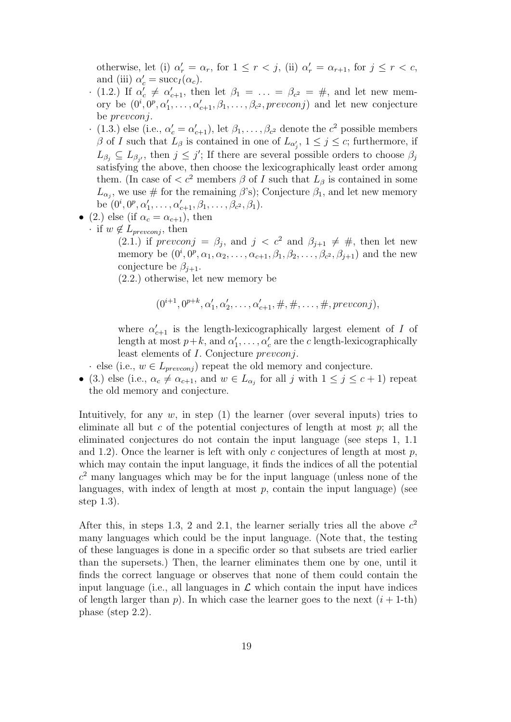otherwise, let (i)  $\alpha'_r = \alpha_r$ , for  $1 \le r < j$ , (ii)  $\alpha'_r = \alpha_{r+1}$ , for  $j \le r < c$ , and (iii)  $\alpha'_c = \text{succ}_I(\alpha_c)$ .

- $\cdot$  (1.2.) If  $\alpha'_c \neq \alpha'_{c+1}$ , then let  $\beta_1 = \ldots = \beta_{c^2} = \#$ , and let new memory be  $(0^i, 0^p, \alpha'_1, \ldots, \alpha'_{c+1}, \beta_1, \ldots, \beta_{c^2}, prevconj)$  and let new conjecture be prevconj.
- $\cdot$  (1.3.) else (i.e.,  $\alpha'_{c} = \alpha'_{c+1}$ ), let  $\beta_1, \ldots, \beta_{c^2}$  denote the  $c^2$  possible members  $\beta$  of I such that  $L_{\beta}$  is contained in one of  $L_{\alpha'_{j}}$ ,  $1 \leq j \leq c$ ; furthermore, if  $L_{\beta_j} \subseteq L_{\beta_{j'}}$ , then  $j \leq j'$ ; If there are several possible orders to choose  $\beta_j$ satisfying the above, then choose the lexicographically least order among them. (In case of  $\langle c^2 \rangle$  members  $\beta$  of I such that  $L_\beta$  is contained in some  $L_{\alpha_j}$ , we use # for the remaining  $\beta$ 's); Conjecture  $\beta_1$ , and let new memory be  $(0^i, 0^p, \alpha'_1, \ldots, \alpha'_{c+1}, \beta_1, \ldots, \beta_{c^2}, \beta_1).$
- (2.) else (if  $\alpha_c = \alpha_{c+1}$ ), then
	- if  $w \notin L_{prevconi}$ , then

(2.1.) if  $prevconj = \beta_j$ , and  $j < c^2$  and  $\beta_{j+1} \neq \#$ , then let new memory be  $(0^i, 0^p, \alpha_1, \alpha_2, \ldots, \alpha_{c+1}, \beta_1, \beta_2, \ldots, \beta_{c^2}, \beta_{j+1})$  and the new conjecture be  $\beta_{i+1}$ .

(2.2.) otherwise, let new memory be

$$
(0^{i+1}, 0^{p+k}, \alpha'_1, \alpha'_2, \ldots, \alpha'_{c+1}, \#, \#, \ldots, \#, \text{prevconj}),
$$

where  $\alpha'_{c+1}$  is the length-lexicographically largest element of I of length at most  $p+k$ , and  $\alpha'_1, \ldots, \alpha'_c$  are the c length-lexicographically least elements of *I*. Conjecture *prevconj*.

· else (i.e.,  $w \in L_{prevconj}$ ) repeat the old memory and conjecture.

• (3.) else (i.e.,  $\alpha_c \neq \alpha_{c+1}$ , and  $w \in L_{\alpha_j}$  for all j with  $1 \leq j \leq c+1$ ) repeat the old memory and conjecture.

Intuitively, for any  $w$ , in step  $(1)$  the learner (over several inputs) tries to eliminate all but c of the potential conjectures of length at most  $p$ ; all the eliminated conjectures do not contain the input language (see steps 1, 1.1 and 1.2). Once the learner is left with only c conjectures of length at most  $p$ , which may contain the input language, it finds the indices of all the potential  $c<sup>2</sup>$  many languages which may be for the input language (unless none of the languages, with index of length at most  $p$ , contain the input language) (see step 1.3).

After this, in steps 1.3, 2 and 2.1, the learner serially tries all the above  $c<sup>2</sup>$ many languages which could be the input language. (Note that, the testing of these languages is done in a specific order so that subsets are tried earlier than the supersets.) Then, the learner eliminates them one by one, until it finds the correct language or observes that none of them could contain the input language (i.e., all languages in  $\mathcal L$  which contain the input have indices of length larger than p). In which case the learner goes to the next  $(i + 1$ -th) phase (step 2.2).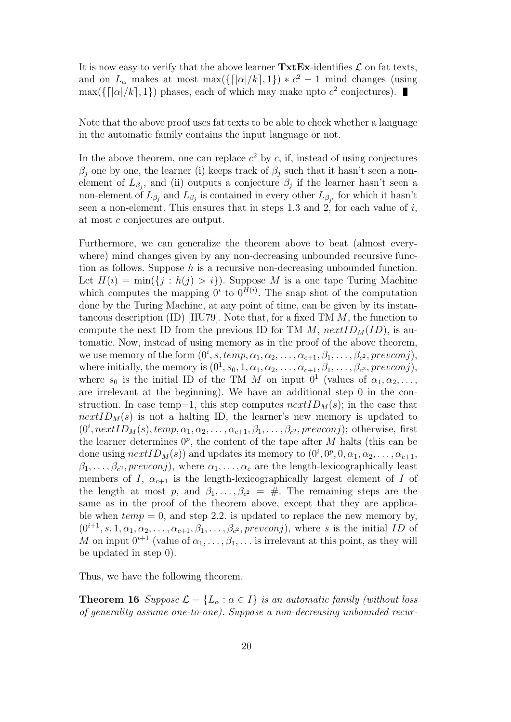It is now easy to verify that the above learner  $\text{Txt}\mathbf{Ex}\text{-}identifies \mathcal{L}$  on fat texts, and on  $L_{\alpha}$  makes at most max( $\{[\alpha]/k, 1\}$ ) \*  $c^2 - 1$  mind changes (using  $\max({\{|a|/k|, 1\}})$  phases, each of which may make upto  $c^2$  conjectures).

Note that the above proof uses fat texts to be able to check whether a language in the automatic family contains the input language or not.

In the above theorem, one can replace  $c^2$  by c, if, instead of using conjectures  $\beta_i$  one by one, the learner (i) keeps track of  $\beta_i$  such that it hasn't seen a nonelement of  $L_{\beta_j}$ , and (ii) outputs a conjecture  $\beta_j$  if the learner hasn't seen a non-element of  $L_{\beta_j}$  and  $L_{\beta_j}$  is contained in every other  $L_{\beta_{j'}}$  for which it hasn't seen a non-element. This ensures that in steps 1.3 and 2, for each value of  $i$ , at most c conjectures are output.

Furthermore, we can generalize the theorem above to beat (almost everywhere) mind changes given by any non-decreasing unbounded recursive function as follows. Suppose  $h$  is a recursive non-decreasing unbounded function. Let  $H(i) = \min(\{j : h(j) > i\})$ . Suppose M is a one tape Turing Machine which computes the mapping  $0^i$  to  $0^{H(i)}$ . The snap shot of the computation done by the Turing Machine, at any point of time, can be given by its instantaneous description (ID) [HU79]. Note that, for a fixed TM  $M$ , the function to compute the next ID from the previous ID for TM  $M$ ,  $nextID_M(ID)$ , is automatic. Now, instead of using memory as in the proof of the above theorem, we use memory of the form  $(0^i, s, temp, \alpha_1, \alpha_2, \ldots, \alpha_{c+1}, \beta_1, \ldots, \beta_{c^2}, prevconj)$ , where initially, the memory is  $(0^1, s_0, 1, \alpha_1, \alpha_2, \ldots, \alpha_{c+1}, \beta_1, \ldots, \beta_{c^2}, prevconj)$ , where  $s_0$  is the initial ID of the TM M on input  $0^1$  (values of  $\alpha_1, \alpha_2, \ldots$ , are irrelevant at the beginning). We have an additional step 0 in the construction. In case temp=1, this step computes  $nextID_M(s)$ ; in the case that  $nextID<sub>M</sub>(s)$  is not a halting ID, the learner's new memory is updated to  $(0^i, nextID_M(s), temp, \alpha_1, \alpha_2, \ldots, \alpha_{c+1}, \beta_1, \ldots, \beta_{c^2}, prevconj);$  otherwise, first the learner determines  $0^p$ , the content of the tape after M halts (this can be done using  $nextID_M(s)$  and updates its memory to  $(0^i, 0^p, 0, \alpha_1, \alpha_2, \ldots, \alpha_{c+1},$  $\beta_1, \ldots, \beta_{c^2}, \text{prevconj}$ , where  $\alpha_1, \ldots, \alpha_c$  are the length-lexicographically least members of I,  $\alpha_{c+1}$  is the length-lexicographically largest element of I of the length at most p, and  $\beta_1, \ldots, \beta_{c^2} = \#$ . The remaining steps are the same as in the proof of the theorem above, except that they are applicable when  $temp = 0$ , and step 2.2. is updated to replace the new memory by,  $(0^{i+1}, s, 1, \alpha_1, \alpha_2, \ldots, \alpha_{c+1}, \beta_1, \ldots, \beta_{c^2}, prevconj)$ , where s is the initial ID of M on input  $0^{i+1}$  (value of  $\alpha_1, \ldots, \beta_1, \ldots$  is irrelevant at this point, as they will be updated in step 0).

Thus, we have the following theorem.

**Theorem 16** Suppose  $\mathcal{L} = \{L_{\alpha} : \alpha \in I\}$  is an automatic family (without loss of generality assume one-to-one). Suppose a non-decreasing unbounded recur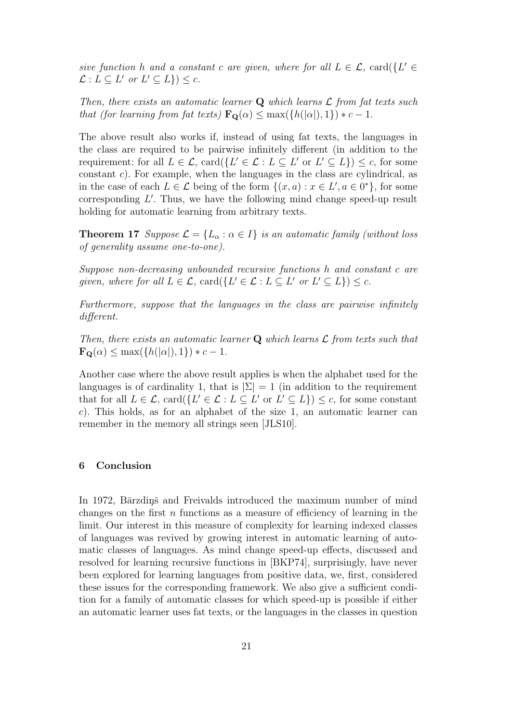sive function h and a constant c are given, where for all  $L \in \mathcal{L}$ , card $\{L' \in$  $\mathcal{L}: L \subseteq L'$  or  $L' \subseteq L$   $\}$   $) \leq c$ .

Then, there exists an automatic learner  $Q$  which learns  $\mathcal L$  from fat texts such that (for learning from fat texts)  $\mathbf{F}_{\mathbf{Q}}(\alpha) \leq \max(\{h(|\alpha|), 1\}) * c - 1$ .

The above result also works if, instead of using fat texts, the languages in the class are required to be pairwise infinitely different (in addition to the requirement: for all  $L \in \mathcal{L}$ ,  $card({L' \in \mathcal{L} : L \subseteq L' \text{ or } L' \subseteq L}) \leq c$ , for some constant c). For example, when the languages in the class are cylindrical, as in the case of each  $L \in \mathcal{L}$  being of the form  $\{(x, a) : x \in L', a \in 0^*\}$ , for some corresponding  $L'$ . Thus, we have the following mind change speed-up result holding for automatic learning from arbitrary texts.

**Theorem 17** Suppose  $\mathcal{L} = \{L_{\alpha} : \alpha \in I\}$  is an automatic family (without loss of generality assume one-to-one).

Suppose non-decreasing unbounded recursive functions h and constant c are given, where for all  $L \in \mathcal{L}$ ,  $\text{card}(\{L' \in \mathcal{L} : L \subseteq L' \text{ or } L' \subseteq L\}) \leq c$ .

Furthermore, suppose that the languages in the class are pairwise infinitely different.

Then, there exists an automatic learner  $Q$  which learns  $\mathcal L$  from texts such that  $\mathbf{F}_{\mathbf{Q}}(\alpha) \leq \max(\{h(|\alpha|), 1\}) * c - 1.$ 

Another case where the above result applies is when the alphabet used for the languages is of cardinality 1, that is  $|\Sigma| = 1$  (in addition to the requirement that for all  $L \in \mathcal{L}$ ,  $\text{card}(\{L' \in \mathcal{L} : L \subseteq L' \text{ or } L' \subseteq L\}) \leq c$ , for some constant c). This holds, as for an alphabet of the size 1, an automatic learner can remember in the memory all strings seen [JLS10].

#### 6 Conclusion

In 1972, Bārzdiņš and Freivalds introduced the maximum number of mind changes on the first  $n$  functions as a measure of efficiency of learning in the limit. Our interest in this measure of complexity for learning indexed classes of languages was revived by growing interest in automatic learning of automatic classes of languages. As mind change speed-up effects, discussed and resolved for learning recursive functions in [BKP74], surprisingly, have never been explored for learning languages from positive data, we, first, considered these issues for the corresponding framework. We also give a sufficient condition for a family of automatic classes for which speed-up is possible if either an automatic learner uses fat texts, or the languages in the classes in question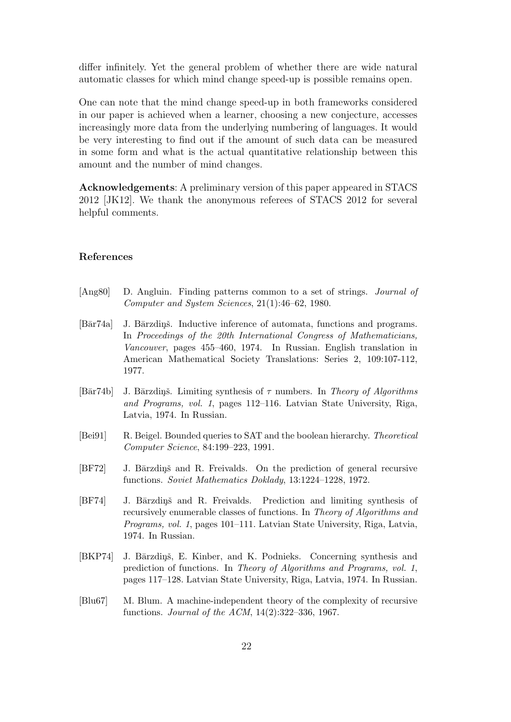differ infinitely. Yet the general problem of whether there are wide natural automatic classes for which mind change speed-up is possible remains open.

One can note that the mind change speed-up in both frameworks considered in our paper is achieved when a learner, choosing a new conjecture, accesses increasingly more data from the underlying numbering of languages. It would be very interesting to find out if the amount of such data can be measured in some form and what is the actual quantitative relationship between this amount and the number of mind changes.

Acknowledgements: A preliminary version of this paper appeared in STACS 2012 [JK12]. We thank the anonymous referees of STACS 2012 for several helpful comments.

#### References

- [Ang80] D. Angluin. Finding patterns common to a set of strings. Journal of Computer and System Sciences, 21(1):46–62, 1980.
- [Bār74a] J. Bārzdinš. Inductive inference of automata, functions and programs. In Proceedings of the 20th International Congress of Mathematicians, Vancouver, pages 455–460, 1974. In Russian. English translation in American Mathematical Society Translations: Series 2, 109:107-112, 1977.
- [Bār74b] J. Bārzdinš. Limiting synthesis of  $\tau$  numbers. In Theory of Algorithms and Programs, vol. 1, pages 112–116. Latvian State University, Riga, Latvia, 1974. In Russian.
- [Bei91] R. Beigel. Bounded queries to SAT and the boolean hierarchy. Theoretical Computer Science, 84:199–223, 1991.
- [BF72] J. Bārzdiņš and R. Freivalds. On the prediction of general recursive functions. Soviet Mathematics Doklady, 13:1224–1228, 1972.
- [BF74] J. Bārzdiņš and R. Freivalds. Prediction and limiting synthesis of recursively enumerable classes of functions. In Theory of Algorithms and Programs, vol. 1, pages 101–111. Latvian State University, Riga, Latvia, 1974. In Russian.
- [BKP74] J. Bārzdiņš, E. Kinber, and K. Podnieks. Concerning synthesis and prediction of functions. In Theory of Algorithms and Programs, vol. 1, pages 117–128. Latvian State University, Riga, Latvia, 1974. In Russian.
- [Blu67] M. Blum. A machine-independent theory of the complexity of recursive functions. Journal of the ACM, 14(2):322–336, 1967.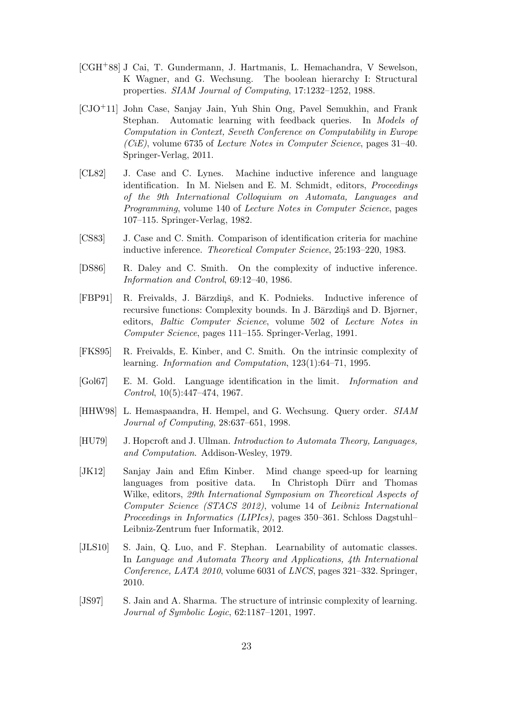- [CGH+88] J Cai, T. Gundermann, J. Hartmanis, L. Hemachandra, V Sewelson, K Wagner, and G. Wechsung. The boolean hierarchy I: Structural properties. SIAM Journal of Computing, 17:1232–1252, 1988.
- [CJO+11] John Case, Sanjay Jain, Yuh Shin Ong, Pavel Semukhin, and Frank Stephan. Automatic learning with feedback queries. In Models of Computation in Context, Seveth Conference on Computability in Europe  $(CiE)$ , volume 6735 of *Lecture Notes in Computer Science*, pages 31–40. Springer-Verlag, 2011.
- [CL82] J. Case and C. Lynes. Machine inductive inference and language identification. In M. Nielsen and E. M. Schmidt, editors, Proceedings of the 9th International Colloquium on Automata, Languages and Programming, volume 140 of Lecture Notes in Computer Science, pages 107–115. Springer-Verlag, 1982.
- [CS83] J. Case and C. Smith. Comparison of identification criteria for machine inductive inference. Theoretical Computer Science, 25:193–220, 1983.
- [DS86] R. Daley and C. Smith. On the complexity of inductive inference. Information and Control, 69:12–40, 1986.
- [FBP91] R. Freivalds, J. Bārzdiņš, and K. Podnieks. Inductive inference of recursive functions: Complexity bounds. In J. Bārzdiņš and D. Bjørner, editors, Baltic Computer Science, volume 502 of Lecture Notes in Computer Science, pages 111–155. Springer-Verlag, 1991.
- [FKS95] R. Freivalds, E. Kinber, and C. Smith. On the intrinsic complexity of learning. Information and Computation, 123(1):64–71, 1995.
- [Gol67] E. M. Gold. Language identification in the limit. Information and Control, 10(5):447–474, 1967.
- [HHW98] L. Hemaspaandra, H. Hempel, and G. Wechsung. Query order. SIAM Journal of Computing, 28:637–651, 1998.
- [HU79] J. Hopcroft and J. Ullman. Introduction to Automata Theory, Languages, and Computation. Addison-Wesley, 1979.
- [JK12] Sanjay Jain and Efim Kinber. Mind change speed-up for learning languages from positive data. In Christoph Dürr and Thomas Wilke, editors, 29th International Symposium on Theoretical Aspects of Computer Science (STACS 2012), volume 14 of Leibniz International Proceedings in Informatics (LIPIcs), pages 350–361. Schloss Dagstuhl– Leibniz-Zentrum fuer Informatik, 2012.
- [JLS10] S. Jain, Q. Luo, and F. Stephan. Learnability of automatic classes. In Language and Automata Theory and Applications, 4th International Conference, LATA 2010, volume 6031 of LNCS, pages 321–332. Springer, 2010.
- [JS97] S. Jain and A. Sharma. The structure of intrinsic complexity of learning. Journal of Symbolic Logic, 62:1187–1201, 1997.